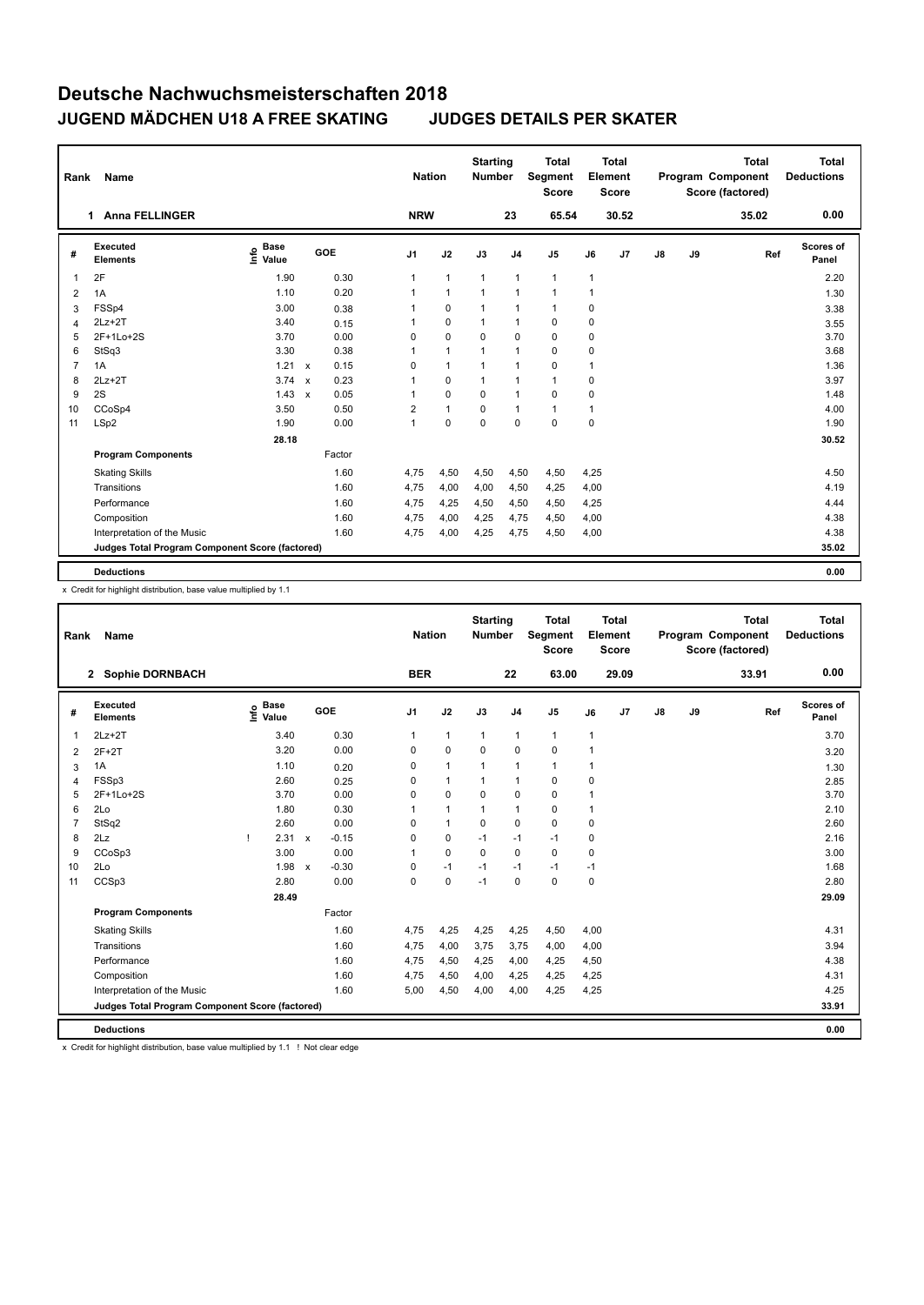| Rank | Name                                            |                              |              |            |                | <b>Nation</b>  | <b>Starting</b><br><b>Number</b> |                | <b>Total</b><br>Segment<br><b>Score</b> |      | <b>Total</b><br>Element<br><b>Score</b> |               |    | <b>Total</b><br>Program Component<br>Score (factored) | <b>Total</b><br><b>Deductions</b> |
|------|-------------------------------------------------|------------------------------|--------------|------------|----------------|----------------|----------------------------------|----------------|-----------------------------------------|------|-----------------------------------------|---------------|----|-------------------------------------------------------|-----------------------------------|
|      | <b>Anna FELLINGER</b><br>1                      |                              |              |            | <b>NRW</b>     |                |                                  | 23             | 65.54                                   |      | 30.52                                   |               |    | 35.02                                                 | 0.00                              |
| #    | Executed<br><b>Elements</b>                     | <b>Base</b><br>١nfo<br>Value |              | <b>GOE</b> | J <sub>1</sub> | J2             | J3                               | J <sub>4</sub> | J <sub>5</sub>                          | J6   | J <sub>7</sub>                          | $\mathsf{J}8$ | J9 | Ref                                                   | Scores of<br>Panel                |
| 1    | 2F                                              | 1.90                         |              | 0.30       | 1              | $\mathbf{1}$   | $\mathbf{1}$                     | $\mathbf{1}$   | $\mathbf{1}$                            | 1    |                                         |               |    |                                                       | 2.20                              |
| 2    | 1A                                              | 1.10                         |              | 0.20       | 1              | $\overline{1}$ | $\overline{1}$                   | $\mathbf{1}$   | $\blacktriangleleft$                    | 1    |                                         |               |    |                                                       | 1.30                              |
| 3    | FSSp4                                           | 3.00                         |              | 0.38       |                | $\mathbf 0$    | 1                                | $\mathbf{1}$   | $\mathbf{1}$                            | 0    |                                         |               |    |                                                       | 3.38                              |
| 4    | $2Lz+2T$                                        | 3.40                         |              | 0.15       | 1              | $\mathbf 0$    | 1                                | $\mathbf{1}$   | 0                                       | 0    |                                         |               |    |                                                       | 3.55                              |
| 5    | 2F+1Lo+2S                                       | 3.70                         |              | 0.00       | 0              | $\mathbf 0$    | 0                                | $\mathbf 0$    | 0                                       | 0    |                                         |               |    |                                                       | 3.70                              |
| 6    | StSq3                                           | 3.30                         |              | 0.38       | 1              | $\mathbf{1}$   | 1                                | $\mathbf{1}$   | 0                                       | 0    |                                         |               |    |                                                       | 3.68                              |
| 7    | 1A                                              | 1.21                         | $\mathsf{x}$ | 0.15       | 0              | $\mathbf{1}$   |                                  | $\mathbf{1}$   | 0                                       | 1    |                                         |               |    |                                                       | 1.36                              |
| 8    | $2Lz+2T$                                        | 3.74                         | $\mathbf{x}$ | 0.23       | 1              | 0              | $\mathbf{1}$                     | $\mathbf{1}$   | $\mathbf{1}$                            | 0    |                                         |               |    |                                                       | 3.97                              |
| 9    | 2S                                              | 1.43                         | $\mathsf{x}$ | 0.05       | 1              | $\mathbf 0$    | $\mathbf 0$                      | $\mathbf{1}$   | 0                                       | 0    |                                         |               |    |                                                       | 1.48                              |
| 10   | CCoSp4                                          | 3.50                         |              | 0.50       | $\overline{2}$ | $\mathbf{1}$   | $\Omega$                         | $\mathbf{1}$   | $\mathbf{1}$                            | 1    |                                         |               |    |                                                       | 4.00                              |
| 11   | LSp2                                            | 1.90                         |              | 0.00       | 1              | $\mathbf 0$    | $\mathbf 0$                      | $\mathbf 0$    | $\mathbf 0$                             | 0    |                                         |               |    |                                                       | 1.90                              |
|      |                                                 | 28.18                        |              |            |                |                |                                  |                |                                         |      |                                         |               |    |                                                       | 30.52                             |
|      | <b>Program Components</b>                       |                              |              | Factor     |                |                |                                  |                |                                         |      |                                         |               |    |                                                       |                                   |
|      | <b>Skating Skills</b>                           |                              |              | 1.60       | 4,75           | 4,50           | 4,50                             | 4,50           | 4,50                                    | 4,25 |                                         |               |    |                                                       | 4.50                              |
|      | Transitions                                     |                              |              | 1.60       | 4,75           | 4,00           | 4,00                             | 4,50           | 4,25                                    | 4,00 |                                         |               |    |                                                       | 4.19                              |
|      | Performance                                     |                              |              | 1.60       | 4,75           | 4,25           | 4,50                             | 4,50           | 4,50                                    | 4,25 |                                         |               |    |                                                       | 4.44                              |
|      | Composition                                     |                              |              | 1.60       | 4,75           | 4,00           | 4,25                             | 4,75           | 4,50                                    | 4,00 |                                         |               |    |                                                       | 4.38                              |
|      | Interpretation of the Music                     |                              |              | 1.60       | 4,75           | 4,00           | 4,25                             | 4,75           | 4,50                                    | 4,00 |                                         |               |    |                                                       | 4.38                              |
|      | Judges Total Program Component Score (factored) |                              |              |            |                |                |                                  |                |                                         |      |                                         |               |    |                                                       | 35.02                             |
|      | <b>Deductions</b>                               |                              |              |            |                |                |                                  |                |                                         |      |                                         |               |    |                                                       | 0.00                              |

x Credit for highlight distribution, base value multiplied by 1.1

| Rank           | Name                                            |   |                                  |              |         |                | <b>Nation</b> | <b>Starting</b><br><b>Number</b> |                | <b>Total</b><br>Segment<br><b>Score</b> |                | Total<br>Element<br><b>Score</b> |               |    | <b>Total</b><br>Program Component<br>Score (factored) |     | <b>Total</b><br><b>Deductions</b> |
|----------------|-------------------------------------------------|---|----------------------------------|--------------|---------|----------------|---------------|----------------------------------|----------------|-----------------------------------------|----------------|----------------------------------|---------------|----|-------------------------------------------------------|-----|-----------------------------------|
|                | 2 Sophie DORNBACH                               |   |                                  |              |         | <b>BER</b>     |               |                                  | 22             | 63.00                                   |                | 29.09                            |               |    | 33.91                                                 |     | 0.00                              |
| #              | Executed<br><b>Elements</b>                     |   | <b>Base</b><br>o Base<br>⊆ Value |              | GOE     | J <sub>1</sub> | J2            | J3                               | J <sub>4</sub> | J <sub>5</sub>                          | J6             | J7                               | $\mathsf{J}8$ | J9 |                                                       | Ref | Scores of<br>Panel                |
| 1              | $2Lz+2T$                                        |   | 3.40                             |              | 0.30    | $\mathbf{1}$   | $\mathbf{1}$  | 1                                | $\mathbf{1}$   | $\mathbf{1}$                            | $\overline{1}$ |                                  |               |    |                                                       |     | 3.70                              |
| 2              | $2F+2T$                                         |   | 3.20                             |              | 0.00    | 0              | $\mathbf 0$   | 0                                | $\mathbf 0$    | 0                                       | 1              |                                  |               |    |                                                       |     | 3.20                              |
| 3              | 1A                                              |   | 1.10                             |              | 0.20    | 0              | $\mathbf{1}$  | $\mathbf{1}$                     | $\mathbf{1}$   | 1                                       | $\overline{1}$ |                                  |               |    |                                                       |     | 1.30                              |
| 4              | FSSp3                                           |   | 2.60                             |              | 0.25    | 0              | $\mathbf{1}$  | 1                                | $\mathbf{1}$   | 0                                       | 0              |                                  |               |    |                                                       |     | 2.85                              |
| 5              | 2F+1Lo+2S                                       |   | 3.70                             |              | 0.00    | 0              | $\mathbf 0$   | $\Omega$                         | $\mathbf 0$    | 0                                       | 1              |                                  |               |    |                                                       |     | 3.70                              |
| 6              | 2Lo                                             |   | 1.80                             |              | 0.30    | 1              | $\mathbf{1}$  | 1                                | $\mathbf{1}$   | 0                                       | 1              |                                  |               |    |                                                       |     | 2.10                              |
| $\overline{7}$ | StSq2                                           |   | 2.60                             |              | 0.00    | $\Omega$       | $\mathbf{1}$  | 0                                | 0              | 0                                       | 0              |                                  |               |    |                                                       |     | 2.60                              |
| 8              | 2Lz                                             | т | 2.31                             | $\mathsf{x}$ | $-0.15$ | 0              | 0             | $-1$                             | $-1$           | $-1$                                    | 0              |                                  |               |    |                                                       |     | 2.16                              |
| 9              | CCoSp3                                          |   | 3.00                             |              | 0.00    | $\mathbf{1}$   | $\mathbf 0$   | $\Omega$                         | $\Omega$       | $\Omega$                                | 0              |                                  |               |    |                                                       |     | 3.00                              |
| 10             | 2Lo                                             |   | 1.98                             | $\mathsf{x}$ | $-0.30$ | $\Omega$       | $-1$          | $-1$                             | $-1$           | $-1$                                    | $-1$           |                                  |               |    |                                                       |     | 1.68                              |
| 11             | CCSp3                                           |   | 2.80                             |              | 0.00    | 0              | $\mathbf 0$   | $-1$                             | 0              | 0                                       | 0              |                                  |               |    |                                                       |     | 2.80                              |
|                |                                                 |   | 28.49                            |              |         |                |               |                                  |                |                                         |                |                                  |               |    |                                                       |     | 29.09                             |
|                | <b>Program Components</b>                       |   |                                  |              | Factor  |                |               |                                  |                |                                         |                |                                  |               |    |                                                       |     |                                   |
|                | <b>Skating Skills</b>                           |   |                                  |              | 1.60    | 4,75           | 4,25          | 4,25                             | 4,25           | 4,50                                    | 4,00           |                                  |               |    |                                                       |     | 4.31                              |
|                | Transitions                                     |   |                                  |              | 1.60    | 4,75           | 4,00          | 3,75                             | 3,75           | 4,00                                    | 4,00           |                                  |               |    |                                                       |     | 3.94                              |
|                | Performance                                     |   |                                  |              | 1.60    | 4,75           | 4,50          | 4,25                             | 4,00           | 4,25                                    | 4,50           |                                  |               |    |                                                       |     | 4.38                              |
|                | Composition                                     |   |                                  |              | 1.60    | 4,75           | 4,50          | 4,00                             | 4,25           | 4,25                                    | 4,25           |                                  |               |    |                                                       |     | 4.31                              |
|                | Interpretation of the Music                     |   |                                  |              | 1.60    | 5,00           | 4,50          | 4,00                             | 4,00           | 4,25                                    | 4,25           |                                  |               |    |                                                       |     | 4.25                              |
|                | Judges Total Program Component Score (factored) |   |                                  |              |         |                |               |                                  |                |                                         |                |                                  |               |    |                                                       |     | 33.91                             |
|                | <b>Deductions</b>                               |   |                                  |              |         |                |               |                                  |                |                                         |                |                                  |               |    |                                                       |     | 0.00                              |

x Credit for highlight distribution, base value multiplied by 1.1 ! Not clear edge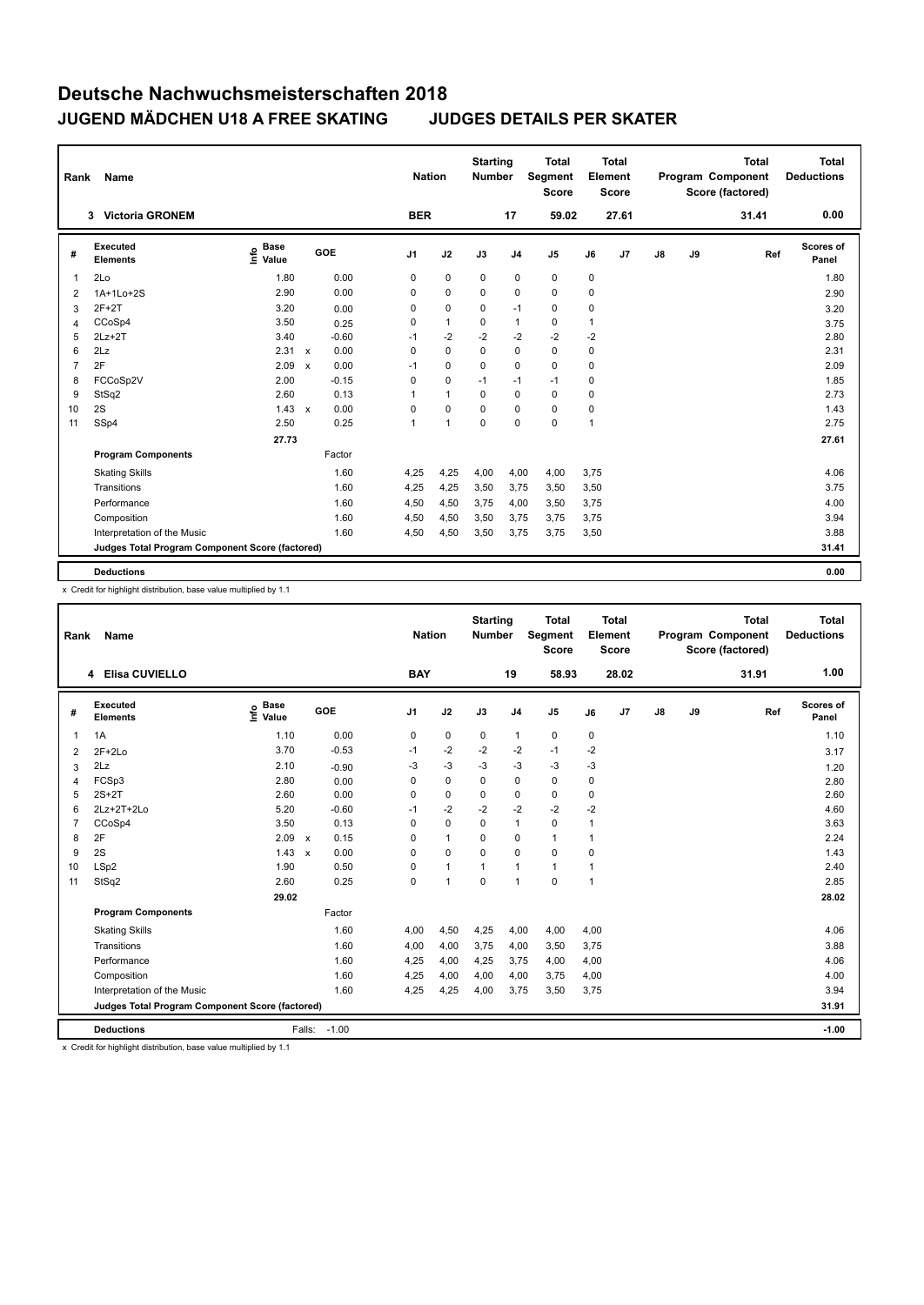| Rank           | Name                                            |                              |                                   | <b>Nation</b>  |                | <b>Starting</b><br><b>Number</b> |                | <b>Total</b><br>Segment<br><b>Score</b> |      | <b>Total</b><br>Element<br><b>Score</b> |               |    | <b>Total</b><br>Program Component<br>Score (factored) | <b>Total</b><br><b>Deductions</b> |
|----------------|-------------------------------------------------|------------------------------|-----------------------------------|----------------|----------------|----------------------------------|----------------|-----------------------------------------|------|-----------------------------------------|---------------|----|-------------------------------------------------------|-----------------------------------|
|                | <b>Victoria GRONEM</b><br>3                     |                              |                                   | <b>BER</b>     |                |                                  | 17             | 59.02                                   |      | 27.61                                   |               |    | 31.41                                                 | 0.00                              |
| #              | <b>Executed</b><br><b>Elements</b>              | <b>Base</b><br>١nfo<br>Value | <b>GOE</b>                        | J <sub>1</sub> | J2             | J3                               | J <sub>4</sub> | J <sub>5</sub>                          | J6   | J <sub>7</sub>                          | $\mathsf{J}8$ | J9 | Ref                                                   | Scores of<br>Panel                |
| 1              | 2Lo                                             | 1.80                         | 0.00                              | 0              | $\mathbf 0$    | 0                                | 0              | 0                                       | 0    |                                         |               |    |                                                       | 1.80                              |
| $\overline{2}$ | 1A+1Lo+2S                                       | 2.90                         | 0.00                              | 0              | 0              | 0                                | 0              | 0                                       | 0    |                                         |               |    |                                                       | 2.90                              |
| 3              | $2F+2T$                                         | 3.20                         | 0.00                              | 0              | $\mathbf 0$    | $\mathbf 0$                      | $-1$           | 0                                       | 0    |                                         |               |    |                                                       | 3.20                              |
| 4              | CCoSp4                                          | 3.50                         | 0.25                              | 0              | $\mathbf{1}$   | 0                                | $\mathbf{1}$   | $\mathbf 0$                             | 1    |                                         |               |    |                                                       | 3.75                              |
| 5              | $2Lz+2T$                                        | 3.40                         | $-0.60$                           | $-1$           | $-2$           | $-2$                             | $-2$           | $-2$                                    | $-2$ |                                         |               |    |                                                       | 2.80                              |
| 6              | 2Lz                                             | 2.31                         | 0.00<br>$\mathsf{x}$              | 0              | $\mathbf 0$    | $\mathbf 0$                      | $\mathbf 0$    | $\mathbf 0$                             | 0    |                                         |               |    |                                                       | 2.31                              |
| 7              | 2F                                              | 2.09                         | 0.00<br>$\boldsymbol{\mathsf{x}}$ | $-1$           | $\mathbf 0$    | $\mathbf 0$                      | $\mathbf 0$    | $\mathbf 0$                             | 0    |                                         |               |    |                                                       | 2.09                              |
| 8              | FCCoSp2V                                        | 2.00                         | $-0.15$                           | 0              | $\mathbf 0$    | $-1$                             | $-1$           | $-1$                                    | 0    |                                         |               |    |                                                       | 1.85                              |
| 9              | StSq2                                           | 2.60                         | 0.13                              | 1              | $\overline{1}$ | 0                                | $\mathbf 0$    | $\mathbf 0$                             | 0    |                                         |               |    |                                                       | 2.73                              |
| 10             | 2S                                              | 1.43                         | 0.00<br>$\mathsf{x}$              | 0              | $\Omega$       | $\Omega$                         | 0              | 0                                       | 0    |                                         |               |    |                                                       | 1.43                              |
| 11             | SSp4                                            | 2.50                         | 0.25                              | 1              | $\overline{1}$ | $\mathbf 0$                      | $\mathbf 0$    | $\mathbf 0$                             | 1    |                                         |               |    |                                                       | 2.75                              |
|                |                                                 | 27.73                        |                                   |                |                |                                  |                |                                         |      |                                         |               |    |                                                       | 27.61                             |
|                | <b>Program Components</b>                       |                              | Factor                            |                |                |                                  |                |                                         |      |                                         |               |    |                                                       |                                   |
|                | <b>Skating Skills</b>                           |                              | 1.60                              | 4,25           | 4,25           | 4,00                             | 4,00           | 4,00                                    | 3,75 |                                         |               |    |                                                       | 4.06                              |
|                | Transitions                                     |                              | 1.60                              | 4,25           | 4,25           | 3,50                             | 3,75           | 3,50                                    | 3,50 |                                         |               |    |                                                       | 3.75                              |
|                | Performance                                     |                              | 1.60                              | 4,50           | 4,50           | 3,75                             | 4,00           | 3,50                                    | 3,75 |                                         |               |    |                                                       | 4.00                              |
|                | Composition                                     |                              | 1.60                              | 4,50           | 4,50           | 3,50                             | 3,75           | 3,75                                    | 3,75 |                                         |               |    |                                                       | 3.94                              |
|                | Interpretation of the Music                     |                              | 1.60                              | 4,50           | 4,50           | 3,50                             | 3,75           | 3,75                                    | 3,50 |                                         |               |    |                                                       | 3.88                              |
|                | Judges Total Program Component Score (factored) |                              |                                   |                |                |                                  |                |                                         |      |                                         |               |    |                                                       | 31.41                             |
|                | <b>Deductions</b>                               |                              |                                   |                |                |                                  |                |                                         |      |                                         |               |    |                                                       | 0.00                              |

x Credit for highlight distribution, base value multiplied by 1.1

| Rank           | Name                                            |                                  |                                   | <b>Nation</b>  |              | <b>Starting</b><br><b>Number</b> |                | Total<br>Segment<br><b>Score</b> |           | <b>Total</b><br>Element<br><b>Score</b> |               |    | <b>Total</b><br>Program Component<br>Score (factored) | <b>Total</b><br><b>Deductions</b> |
|----------------|-------------------------------------------------|----------------------------------|-----------------------------------|----------------|--------------|----------------------------------|----------------|----------------------------------|-----------|-----------------------------------------|---------------|----|-------------------------------------------------------|-----------------------------------|
|                | 4 Elisa CUVIELLO                                |                                  |                                   | <b>BAY</b>     |              |                                  | 19             | 58.93                            |           | 28.02                                   |               |    | 31.91                                                 | 1.00                              |
| #              | <b>Executed</b><br><b>Elements</b>              | <b>Base</b><br>e Base<br>E Value | <b>GOE</b>                        | J <sub>1</sub> | J2           | J3                               | J <sub>4</sub> | J <sub>5</sub>                   | J6        | J <sub>7</sub>                          | $\mathsf{J}8$ | J9 | Ref                                                   | <b>Scores of</b><br>Panel         |
| $\overline{1}$ | 1A                                              | 1.10                             | 0.00                              | 0              | 0            | 0                                | $\mathbf{1}$   | 0                                | 0         |                                         |               |    |                                                       | 1.10                              |
| 2              | $2F+2Lo$                                        | 3.70                             | $-0.53$                           | $-1$           | $-2$         | $-2$                             | $-2$           | $-1$                             | $-2$      |                                         |               |    |                                                       | 3.17                              |
| 3              | 2Lz                                             | 2.10                             | $-0.90$                           | $-3$           | $-3$         | $-3$                             | $-3$           | $-3$                             | $-3$      |                                         |               |    |                                                       | 1.20                              |
| $\overline{4}$ | FCSp3                                           | 2.80                             | 0.00                              | 0              | $\mathbf 0$  | $\mathbf 0$                      | 0              | 0                                | $\pmb{0}$ |                                         |               |    |                                                       | 2.80                              |
| 5              | $2S+2T$                                         | 2.60                             | 0.00                              | 0              | $\mathbf 0$  | 0                                | 0              | 0                                | 0         |                                         |               |    |                                                       | 2.60                              |
| 6              | $2Lz+2T+2Lo$                                    | 5.20                             | $-0.60$                           | $-1$           | $-2$         | $-2$                             | $-2$           | $-2$                             | $-2$      |                                         |               |    |                                                       | 4.60                              |
| 7              | CCoSp4                                          | 3.50                             | 0.13                              | $\Omega$       | 0            | $\Omega$                         | $\mathbf{1}$   | 0                                | 1         |                                         |               |    |                                                       | 3.63                              |
| 8              | 2F                                              | 2.09                             | 0.15<br>$\boldsymbol{\mathsf{x}}$ | 0              | $\mathbf{1}$ | 0                                | 0              | 1                                | 1         |                                         |               |    |                                                       | 2.24                              |
| 9              | 2S                                              | 1.43                             | 0.00<br>$\mathsf{x}$              | $\Omega$       | 0            | $\Omega$                         | 0              | 0                                | 0         |                                         |               |    |                                                       | 1.43                              |
| 10             | LSp2                                            | 1.90                             | 0.50                              | $\Omega$       | $\mathbf{1}$ | $\mathbf{1}$                     | $\mathbf{1}$   | $\mathbf{1}$                     | 1         |                                         |               |    |                                                       | 2.40                              |
| 11             | StSq2                                           | 2.60                             | 0.25                              | 0              | 1            | $\mathbf 0$                      | $\mathbf{1}$   | 0                                | 1         |                                         |               |    |                                                       | 2.85                              |
|                |                                                 | 29.02                            |                                   |                |              |                                  |                |                                  |           |                                         |               |    |                                                       | 28.02                             |
|                | <b>Program Components</b>                       |                                  | Factor                            |                |              |                                  |                |                                  |           |                                         |               |    |                                                       |                                   |
|                | <b>Skating Skills</b>                           |                                  | 1.60                              | 4,00           | 4,50         | 4,25                             | 4,00           | 4,00                             | 4,00      |                                         |               |    |                                                       | 4.06                              |
|                | Transitions                                     |                                  | 1.60                              | 4,00           | 4,00         | 3,75                             | 4,00           | 3,50                             | 3,75      |                                         |               |    |                                                       | 3.88                              |
|                | Performance                                     |                                  | 1.60                              | 4,25           | 4,00         | 4,25                             | 3,75           | 4,00                             | 4,00      |                                         |               |    |                                                       | 4.06                              |
|                | Composition                                     |                                  | 1.60                              | 4,25           | 4,00         | 4,00                             | 4,00           | 3,75                             | 4,00      |                                         |               |    |                                                       | 4.00                              |
|                | Interpretation of the Music                     |                                  | 1.60                              | 4,25           | 4,25         | 4,00                             | 3,75           | 3,50                             | 3,75      |                                         |               |    |                                                       | 3.94                              |
|                | Judges Total Program Component Score (factored) |                                  |                                   |                |              |                                  |                |                                  |           |                                         |               |    |                                                       | 31.91                             |
|                | <b>Deductions</b>                               |                                  | $-1.00$<br>Falls:                 |                |              |                                  |                |                                  |           |                                         |               |    |                                                       | $-1.00$                           |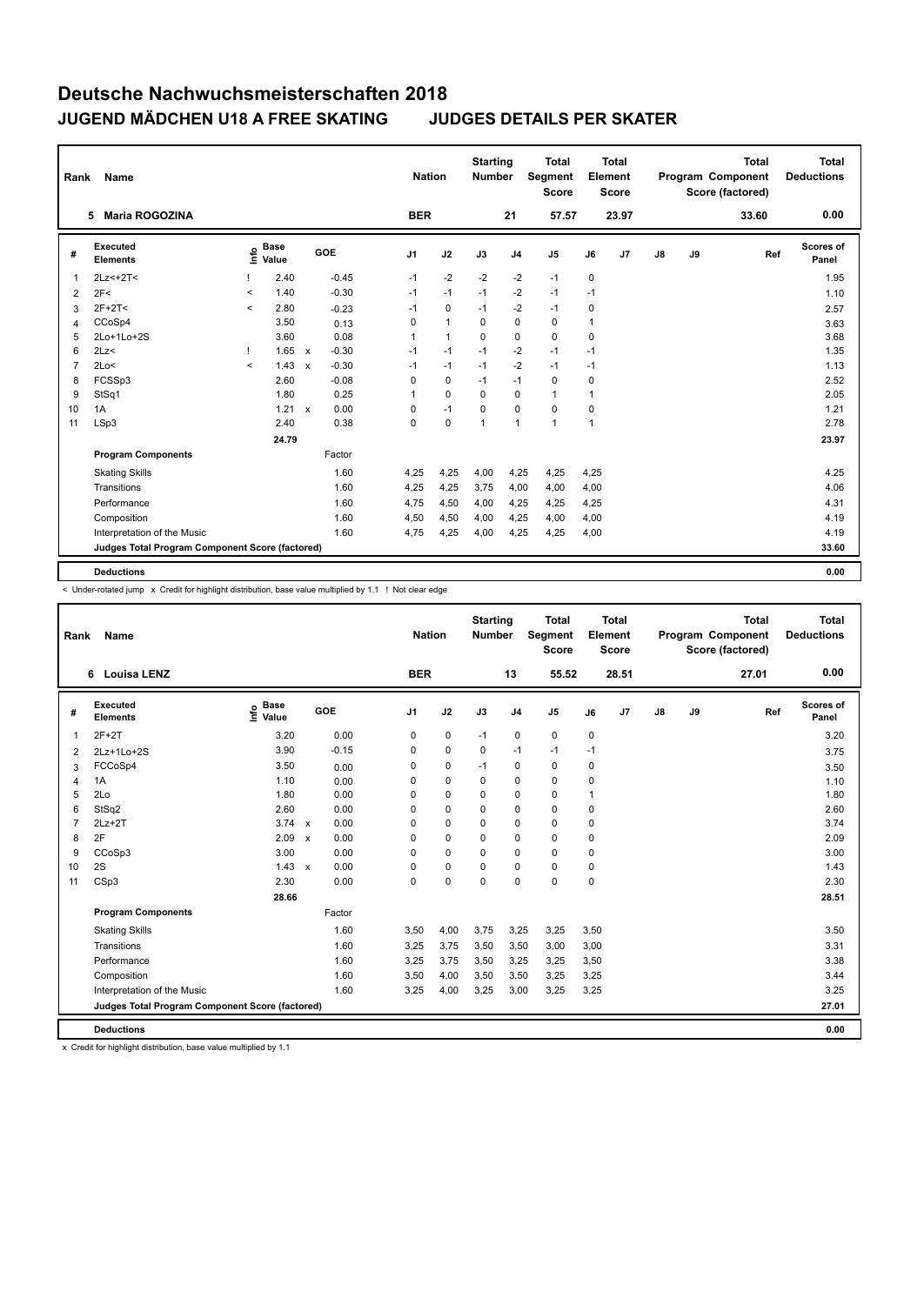| Rank           | Name                                            |                          |                      |              |         | <b>Nation</b>  |              | <b>Starting</b><br><b>Number</b> |                | <b>Total</b><br>Segment<br><b>Score</b> |             | <b>Total</b><br>Element<br><b>Score</b> |               |    | <b>Total</b><br>Program Component<br>Score (factored) | <b>Total</b><br><b>Deductions</b> |
|----------------|-------------------------------------------------|--------------------------|----------------------|--------------|---------|----------------|--------------|----------------------------------|----------------|-----------------------------------------|-------------|-----------------------------------------|---------------|----|-------------------------------------------------------|-----------------------------------|
|                | <b>Maria ROGOZINA</b><br>5.                     |                          |                      |              |         | <b>BER</b>     |              |                                  | 21             | 57.57                                   |             | 23.97                                   |               |    | 33.60                                                 | 0.00                              |
| #              | Executed<br><b>Elements</b>                     | ۴٥                       | <b>Base</b><br>Value |              | GOE     | J <sub>1</sub> | J2           | J3                               | J <sub>4</sub> | J5                                      | J6          | J7                                      | $\mathsf{J}8$ | J9 | Ref                                                   | Scores of<br>Panel                |
| 1              | 2Lz <+2T <                                      |                          | 2.40                 |              | $-0.45$ | $-1$           | $-2$         | $-2$                             | $-2$           | $-1$                                    | $\mathbf 0$ |                                         |               |    |                                                       | 1.95                              |
| $\overline{2}$ | 2F<                                             | $\prec$                  | 1.40                 |              | $-0.30$ | $-1$           | $-1$         | $-1$                             | $-2$           | $-1$                                    | $-1$        |                                         |               |    |                                                       | 1.10                              |
| 3              | $2F+2T<$                                        | $\prec$                  | 2.80                 |              | $-0.23$ | $-1$           | $\mathbf 0$  | $-1$                             | $-2$           | $-1$                                    | 0           |                                         |               |    |                                                       | 2.57                              |
| 4              | CCoSp4                                          |                          | 3.50                 |              | 0.13    | 0              | $\mathbf{1}$ | $\Omega$                         | $\mathbf 0$    | $\mathbf 0$                             | 1           |                                         |               |    |                                                       | 3.63                              |
| 5              | 2Lo+1Lo+2S                                      |                          | 3.60                 |              | 0.08    | 1              | $\mathbf{1}$ | 0                                | 0              | 0                                       | 0           |                                         |               |    |                                                       | 3.68                              |
| 6              | 2Lz<                                            |                          | $1.65 \times$        |              | $-0.30$ | $-1$           | $-1$         | $-1$                             | $-2$           | $-1$                                    | $-1$        |                                         |               |    |                                                       | 1.35                              |
| 7              | 2Lo<                                            | $\overline{\phantom{a}}$ | 1.43                 | $\mathsf{x}$ | $-0.30$ | $-1$           | $-1$         | $-1$                             | $-2$           | $-1$                                    | $-1$        |                                         |               |    |                                                       | 1.13                              |
| 8              | FCSSp3                                          |                          | 2.60                 |              | $-0.08$ | 0              | $\mathbf 0$  | $-1$                             | $-1$           | $\mathbf 0$                             | 0           |                                         |               |    |                                                       | 2.52                              |
| 9              | StSq1                                           |                          | 1.80                 |              | 0.25    | 1              | 0            | $\Omega$                         | 0              | $\mathbf{1}$                            | 1           |                                         |               |    |                                                       | 2.05                              |
| 10             | 1A                                              |                          | $1.21 \times$        |              | 0.00    | 0              | $-1$         | $\Omega$                         | $\Omega$       | $\mathbf 0$                             | 0           |                                         |               |    |                                                       | 1.21                              |
| 11             | LSp3                                            |                          | 2.40                 |              | 0.38    | 0              | $\pmb{0}$    | 1                                | $\mathbf{1}$   | $\mathbf{1}$                            | 1           |                                         |               |    |                                                       | 2.78                              |
|                |                                                 |                          | 24.79                |              |         |                |              |                                  |                |                                         |             |                                         |               |    |                                                       | 23.97                             |
|                | <b>Program Components</b>                       |                          |                      |              | Factor  |                |              |                                  |                |                                         |             |                                         |               |    |                                                       |                                   |
|                | <b>Skating Skills</b>                           |                          |                      |              | 1.60    | 4,25           | 4,25         | 4,00                             | 4,25           | 4,25                                    | 4,25        |                                         |               |    |                                                       | 4.25                              |
|                | Transitions                                     |                          |                      |              | 1.60    | 4,25           | 4,25         | 3,75                             | 4,00           | 4,00                                    | 4,00        |                                         |               |    |                                                       | 4.06                              |
|                | Performance                                     |                          |                      |              | 1.60    | 4,75           | 4,50         | 4,00                             | 4,25           | 4,25                                    | 4,25        |                                         |               |    |                                                       | 4.31                              |
|                | Composition                                     |                          |                      |              | 1.60    | 4,50           | 4,50         | 4,00                             | 4,25           | 4,00                                    | 4,00        |                                         |               |    |                                                       | 4.19                              |
|                | Interpretation of the Music                     |                          |                      |              | 1.60    | 4,75           | 4,25         | 4,00                             | 4,25           | 4,25                                    | 4,00        |                                         |               |    |                                                       | 4.19                              |
|                | Judges Total Program Component Score (factored) |                          |                      |              |         |                |              |                                  |                |                                         |             |                                         |               |    |                                                       | 33.60                             |
|                | <b>Deductions</b>                               |                          |                      |              |         |                |              |                                  |                |                                         |             |                                         |               |    |                                                       | 0.00                              |

< Under-rotated jump x Credit for highlight distribution, base value multiplied by 1.1 ! Not clear edge

| Rank           | Name                                            |                              |                                   |                | <b>Nation</b> | <b>Starting</b><br><b>Number</b> |                | <b>Total</b><br>Segment<br><b>Score</b> |              | <b>Total</b><br>Element<br><b>Score</b> |    |    | <b>Total</b><br>Program Component<br>Score (factored) | <b>Total</b><br><b>Deductions</b> |
|----------------|-------------------------------------------------|------------------------------|-----------------------------------|----------------|---------------|----------------------------------|----------------|-----------------------------------------|--------------|-----------------------------------------|----|----|-------------------------------------------------------|-----------------------------------|
|                | <b>Louisa LENZ</b><br>6                         |                              |                                   | <b>BER</b>     |               |                                  | 13             | 55.52                                   |              | 28.51                                   |    |    | 27.01                                                 | 0.00                              |
| #              | Executed<br><b>Elements</b>                     | <b>Base</b><br>info<br>Value | <b>GOE</b>                        | J <sub>1</sub> | J2            | J3                               | J <sub>4</sub> | J <sub>5</sub>                          | J6           | J <sub>7</sub>                          | J8 | J9 | Ref                                                   | Scores of<br>Panel                |
| 1              | $2F+2T$                                         | 3.20                         | 0.00                              | $\mathbf 0$    | $\pmb{0}$     | $-1$                             | $\mathbf 0$    | 0                                       | $\pmb{0}$    |                                         |    |    |                                                       | 3.20                              |
| 2              | 2Lz+1Lo+2S                                      | 3.90                         | $-0.15$                           | 0              | 0             | 0                                | $-1$           | $-1$                                    | $-1$         |                                         |    |    |                                                       | 3.75                              |
| 3              | FCCoSp4                                         | 3.50                         | 0.00                              | 0              | $\mathbf 0$   | $-1$                             | 0              | 0                                       | 0            |                                         |    |    |                                                       | 3.50                              |
| $\overline{4}$ | 1A                                              | 1.10                         | 0.00                              | $\Omega$       | 0             | 0                                | 0              | 0                                       | 0            |                                         |    |    |                                                       | 1.10                              |
| 5              | 2Lo                                             | 1.80                         | 0.00                              | $\Omega$       | $\Omega$      | 0                                | $\Omega$       | 0                                       | $\mathbf{1}$ |                                         |    |    |                                                       | 1.80                              |
| 6              | StSq2                                           | 2.60                         | 0.00                              | $\Omega$       | $\Omega$      | $\Omega$                         | 0              | 0                                       | $\mathbf 0$  |                                         |    |    |                                                       | 2.60                              |
| $\overline{7}$ | $2Lz+2T$                                        | 3.74                         | 0.00<br>$\mathsf{x}$              | 0              | 0             | 0                                | 0              | 0                                       | $\pmb{0}$    |                                         |    |    |                                                       | 3.74                              |
| 8              | 2F                                              | 2.09                         | 0.00<br>$\boldsymbol{\mathsf{x}}$ | $\Omega$       | $\Omega$      | $\Omega$                         | $\mathbf 0$    | 0                                       | 0            |                                         |    |    |                                                       | 2.09                              |
| 9              | CCoSp3                                          | 3.00                         | 0.00                              | 0              | 0             | 0                                | 0              | 0                                       | $\mathbf 0$  |                                         |    |    |                                                       | 3.00                              |
| 10             | 2S                                              | 1.43                         | 0.00<br>$\mathsf{x}$              | $\Omega$       | $\Omega$      | 0                                | 0              | 0                                       | 0            |                                         |    |    |                                                       | 1.43                              |
| 11             | CSp3                                            | 2.30                         | 0.00                              | 0              | $\mathbf 0$   | $\mathbf 0$                      | 0              | 0                                       | $\pmb{0}$    |                                         |    |    |                                                       | 2.30                              |
|                |                                                 | 28.66                        |                                   |                |               |                                  |                |                                         |              |                                         |    |    |                                                       | 28.51                             |
|                | <b>Program Components</b>                       |                              | Factor                            |                |               |                                  |                |                                         |              |                                         |    |    |                                                       |                                   |
|                | <b>Skating Skills</b>                           |                              | 1.60                              | 3,50           | 4,00          | 3,75                             | 3,25           | 3,25                                    | 3,50         |                                         |    |    |                                                       | 3.50                              |
|                | Transitions                                     |                              | 1.60                              | 3,25           | 3.75          | 3,50                             | 3,50           | 3,00                                    | 3,00         |                                         |    |    |                                                       | 3.31                              |
|                | Performance                                     |                              | 1.60                              | 3,25           | 3,75          | 3,50                             | 3,25           | 3,25                                    | 3,50         |                                         |    |    |                                                       | 3.38                              |
|                | Composition                                     |                              | 1.60                              | 3,50           | 4,00          | 3,50                             | 3,50           | 3,25                                    | 3,25         |                                         |    |    |                                                       | 3.44                              |
|                | Interpretation of the Music                     |                              | 1.60                              | 3,25           | 4,00          | 3,25                             | 3,00           | 3,25                                    | 3,25         |                                         |    |    |                                                       | 3.25                              |
|                | Judges Total Program Component Score (factored) |                              |                                   |                |               |                                  |                |                                         |              |                                         |    |    |                                                       | 27.01                             |
|                | <b>Deductions</b>                               |                              |                                   |                |               |                                  |                |                                         |              |                                         |    |    |                                                       | 0.00                              |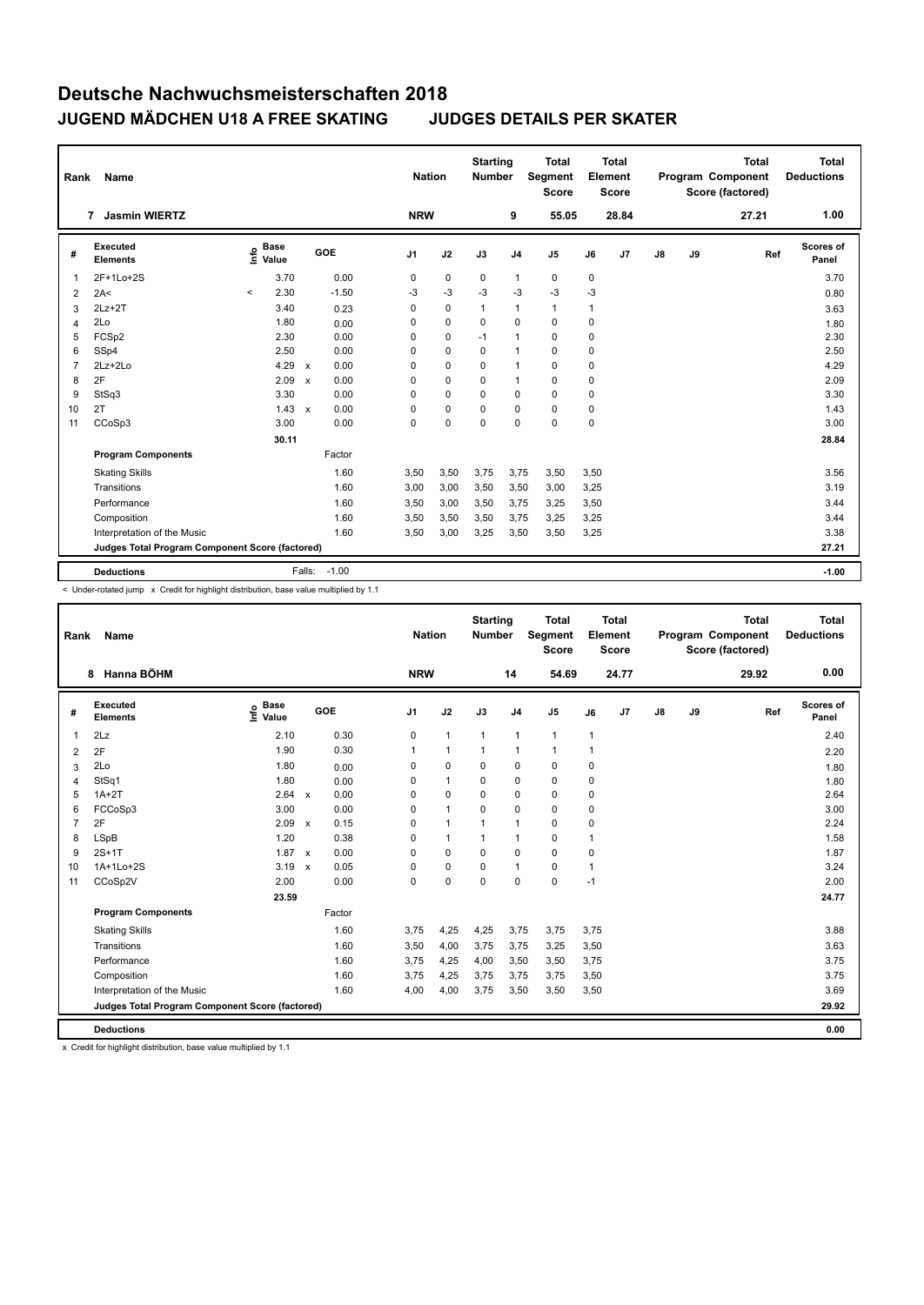| Rank           | Name                                            |         |                      |                           |         | <b>Nation</b>  |             | <b>Starting</b><br><b>Number</b> |                | <b>Total</b><br><b>Segment</b><br><b>Score</b> |          | <b>Total</b><br>Element<br><b>Score</b> |               |    | <b>Total</b><br>Program Component<br>Score (factored) | <b>Total</b><br><b>Deductions</b> |
|----------------|-------------------------------------------------|---------|----------------------|---------------------------|---------|----------------|-------------|----------------------------------|----------------|------------------------------------------------|----------|-----------------------------------------|---------------|----|-------------------------------------------------------|-----------------------------------|
|                | <b>Jasmin WIERTZ</b><br>$\overline{7}$          |         |                      |                           |         | <b>NRW</b>     |             |                                  | 9              | 55.05                                          |          | 28.84                                   |               |    | 27.21                                                 | 1.00                              |
| #              | Executed<br><b>Elements</b>                     | ١nfo    | <b>Base</b><br>Value | GOE                       |         | J <sub>1</sub> | J2          | J3                               | J <sub>4</sub> | J <sub>5</sub>                                 | J6       | J7                                      | $\mathsf{J}8$ | J9 | Ref                                                   | <b>Scores of</b><br>Panel         |
| -1             | 2F+1Lo+2S                                       |         | 3.70                 |                           | 0.00    | 0              | $\mathbf 0$ | $\mathbf 0$                      | 1              | 0                                              | 0        |                                         |               |    |                                                       | 3.70                              |
| $\overline{2}$ | 2A<                                             | $\prec$ | 2.30                 |                           | $-1.50$ | -3             | $-3$        | $-3$                             | -3             | $-3$                                           | $-3$     |                                         |               |    |                                                       | 0.80                              |
| 3              | $2Lz+2T$                                        |         | 3.40                 |                           | 0.23    | 0              | $\mathbf 0$ | $\mathbf{1}$                     | 1              | 1                                              | 1        |                                         |               |    |                                                       | 3.63                              |
| 4              | 2Lo                                             |         | 1.80                 |                           | 0.00    | 0              | $\mathbf 0$ | 0                                | $\mathbf 0$    | $\mathbf 0$                                    | 0        |                                         |               |    |                                                       | 1.80                              |
| 5              | FCSp2                                           |         | 2.30                 |                           | 0.00    | 0              | $\mathbf 0$ | $-1$                             | $\mathbf{1}$   | $\mathbf 0$                                    | 0        |                                         |               |    |                                                       | 2.30                              |
| 6              | SSp4                                            |         | 2.50                 |                           | 0.00    | 0              | 0           | 0                                | $\mathbf{1}$   | $\mathbf 0$                                    | 0        |                                         |               |    |                                                       | 2.50                              |
| 7              | $2Lz+2Lo$                                       |         | 4.29                 | $\boldsymbol{\mathsf{x}}$ | 0.00    | 0              | 0           | $\Omega$                         | $\mathbf{1}$   | $\mathbf 0$                                    | 0        |                                         |               |    |                                                       | 4.29                              |
| 8              | 2F                                              |         | 2.09                 | $\boldsymbol{\mathsf{x}}$ | 0.00    | 0              | $\mathbf 0$ | $\mathbf 0$                      | $\mathbf{1}$   | $\mathbf 0$                                    | 0        |                                         |               |    |                                                       | 2.09                              |
| 9              | StSq3                                           |         | 3.30                 |                           | 0.00    | 0              | 0           | 0                                | 0              | $\mathbf 0$                                    | 0        |                                         |               |    |                                                       | 3.30                              |
| 10             | 2T                                              |         | $1.43 \times$        |                           | 0.00    | 0              | $\mathbf 0$ | 0                                | $\Omega$       | $\mathbf 0$                                    | $\Omega$ |                                         |               |    |                                                       | 1.43                              |
| 11             | CCoSp3                                          |         | 3.00                 |                           | 0.00    | 0              | $\pmb{0}$   | $\mathbf 0$                      | 0              | 0                                              | 0        |                                         |               |    |                                                       | 3.00                              |
|                |                                                 |         | 30.11                |                           |         |                |             |                                  |                |                                                |          |                                         |               |    |                                                       | 28.84                             |
|                | <b>Program Components</b>                       |         |                      |                           | Factor  |                |             |                                  |                |                                                |          |                                         |               |    |                                                       |                                   |
|                | <b>Skating Skills</b>                           |         |                      |                           | 1.60    | 3,50           | 3,50        | 3,75                             | 3,75           | 3,50                                           | 3,50     |                                         |               |    |                                                       | 3.56                              |
|                | Transitions                                     |         |                      |                           | 1.60    | 3,00           | 3,00        | 3,50                             | 3,50           | 3,00                                           | 3,25     |                                         |               |    |                                                       | 3.19                              |
|                | Performance                                     |         |                      |                           | 1.60    | 3,50           | 3,00        | 3,50                             | 3,75           | 3,25                                           | 3,50     |                                         |               |    |                                                       | 3.44                              |
|                | Composition                                     |         |                      |                           | 1.60    | 3,50           | 3,50        | 3,50                             | 3,75           | 3,25                                           | 3,25     |                                         |               |    |                                                       | 3.44                              |
|                | Interpretation of the Music                     |         |                      |                           | 1.60    | 3,50           | 3,00        | 3,25                             | 3,50           | 3,50                                           | 3,25     |                                         |               |    |                                                       | 3.38                              |
|                | Judges Total Program Component Score (factored) |         |                      |                           |         |                |             |                                  |                |                                                |          |                                         |               |    |                                                       | 27.21                             |
|                | <b>Deductions</b>                               |         |                      | Falls:                    | $-1.00$ |                |             |                                  |                |                                                |          |                                         |               |    |                                                       | $-1.00$                           |

< Under-rotated jump x Credit for highlight distribution, base value multiplied by 1.1

| Rank           | <b>Name</b>                                     |                                  |                                   | <b>Nation</b>  |              | <b>Starting</b><br><b>Number</b> |                | <b>Total</b><br>Segment<br><b>Score</b> |                | <b>Total</b><br>Element<br><b>Score</b> |               |    | <b>Total</b><br>Program Component<br>Score (factored) | <b>Total</b><br><b>Deductions</b> |
|----------------|-------------------------------------------------|----------------------------------|-----------------------------------|----------------|--------------|----------------------------------|----------------|-----------------------------------------|----------------|-----------------------------------------|---------------|----|-------------------------------------------------------|-----------------------------------|
|                | Hanna BÖHM<br>8                                 |                                  |                                   | <b>NRW</b>     |              |                                  | 14             | 54.69                                   |                | 24.77                                   |               |    | 29.92                                                 | 0.00                              |
| #              | <b>Executed</b><br><b>Elements</b>              | <b>Base</b><br>e Base<br>⊆ Value | GOE                               | J <sub>1</sub> | J2           | J3                               | J <sub>4</sub> | J5                                      | J6             | J7                                      | $\mathsf{J}8$ | J9 | Ref                                                   | Scores of<br>Panel                |
| $\overline{1}$ | 2Lz                                             | 2.10                             | 0.30                              | 0              | $\mathbf{1}$ | $\mathbf{1}$                     | $\mathbf{1}$   | $\mathbf{1}$                            | $\mathbf{1}$   |                                         |               |    |                                                       | 2.40                              |
| 2              | 2F                                              | 1.90                             | 0.30                              | 1              | $\mathbf{1}$ | 1                                | 1              | 1                                       | $\overline{1}$ |                                         |               |    |                                                       | 2.20                              |
| 3              | 2Lo                                             | 1.80                             | 0.00                              | 0              | 0            | $\Omega$                         | $\mathbf 0$    | 0                                       | 0              |                                         |               |    |                                                       | 1.80                              |
| 4              | StSq1                                           | 1.80                             | 0.00                              | 0              | $\mathbf{1}$ | 0                                | 0              | 0                                       | 0              |                                         |               |    |                                                       | 1.80                              |
| 5              | $1A+2T$                                         | 2.64                             | 0.00<br>$\mathsf{x}$              | 0              | 0            | 0                                | $\mathbf 0$    | 0                                       | 0              |                                         |               |    |                                                       | 2.64                              |
| 6              | FCCoSp3                                         | 3.00                             | 0.00                              | 0              | $\mathbf{1}$ | 0                                | $\mathbf 0$    | 0                                       | 0              |                                         |               |    |                                                       | 3.00                              |
| $\overline{7}$ | 2F                                              | 2.09                             | 0.15<br>$\boldsymbol{\mathsf{x}}$ | $\Omega$       | $\mathbf{1}$ | 1                                | 1              | 0                                       | 0              |                                         |               |    |                                                       | 2.24                              |
| 8              | <b>LSpB</b>                                     | 1.20                             | 0.38                              | 0              | $\mathbf{1}$ | 1                                | 1              | 0                                       | 1              |                                         |               |    |                                                       | 1.58                              |
| 9              | $2S+1T$                                         | $1.87 \times$                    | 0.00                              | 0              | 0            | 0                                | $\mathbf 0$    | 0                                       | 0              |                                         |               |    |                                                       | 1.87                              |
| 10             | 1A+1Lo+2S                                       | 3.19                             | 0.05<br>$\mathsf{x}$              | 0              | 0            | 0                                | 1              | 0                                       | 1              |                                         |               |    |                                                       | 3.24                              |
| 11             | CCoSp2V                                         | 2.00                             | 0.00                              | 0              | $\mathbf 0$  | 0                                | $\mathbf 0$    | 0                                       | $-1$           |                                         |               |    |                                                       | 2.00                              |
|                |                                                 | 23.59                            |                                   |                |              |                                  |                |                                         |                |                                         |               |    |                                                       | 24.77                             |
|                | <b>Program Components</b>                       |                                  | Factor                            |                |              |                                  |                |                                         |                |                                         |               |    |                                                       |                                   |
|                | <b>Skating Skills</b>                           |                                  | 1.60                              | 3,75           | 4,25         | 4,25                             | 3,75           | 3,75                                    | 3,75           |                                         |               |    |                                                       | 3.88                              |
|                | Transitions                                     |                                  | 1.60                              | 3,50           | 4,00         | 3,75                             | 3,75           | 3,25                                    | 3,50           |                                         |               |    |                                                       | 3.63                              |
|                | Performance                                     |                                  | 1.60                              | 3,75           | 4,25         | 4,00                             | 3,50           | 3,50                                    | 3,75           |                                         |               |    |                                                       | 3.75                              |
|                | Composition                                     |                                  | 1.60                              | 3,75           | 4,25         | 3,75                             | 3,75           | 3,75                                    | 3,50           |                                         |               |    |                                                       | 3.75                              |
|                | Interpretation of the Music                     |                                  | 1.60                              | 4,00           | 4,00         | 3,75                             | 3,50           | 3,50                                    | 3,50           |                                         |               |    |                                                       | 3.69                              |
|                | Judges Total Program Component Score (factored) |                                  |                                   |                |              |                                  |                |                                         |                |                                         |               |    |                                                       | 29.92                             |
|                | <b>Deductions</b>                               |                                  |                                   |                |              |                                  |                |                                         |                |                                         |               |    |                                                       | 0.00                              |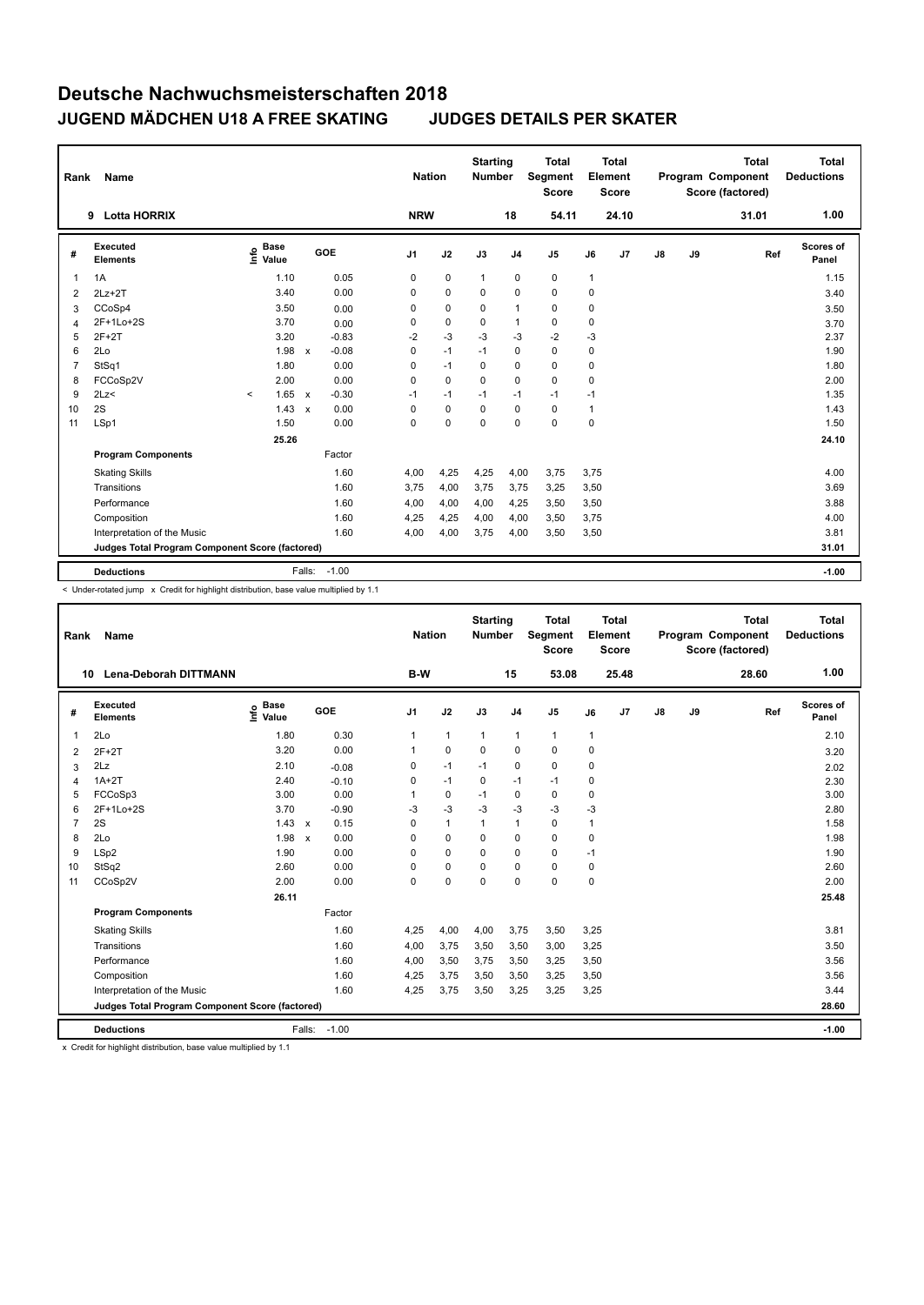| Rank           | Name                                            |                              |                                      | <b>Nation</b>  |             | <b>Starting</b><br><b>Number</b> |                | <b>Total</b><br><b>Segment</b><br><b>Score</b> |              | <b>Total</b><br>Element<br><b>Score</b> |    |    | <b>Total</b><br>Program Component<br>Score (factored) | <b>Total</b><br><b>Deductions</b> |
|----------------|-------------------------------------------------|------------------------------|--------------------------------------|----------------|-------------|----------------------------------|----------------|------------------------------------------------|--------------|-----------------------------------------|----|----|-------------------------------------------------------|-----------------------------------|
|                | <b>Lotta HORRIX</b><br>9                        |                              |                                      | <b>NRW</b>     |             |                                  | 18             | 54.11                                          |              | 24.10                                   |    |    | 31.01                                                 | 1.00                              |
| #              | Executed<br><b>Elements</b>                     | <b>Base</b><br>١nfo<br>Value | <b>GOE</b>                           | J <sub>1</sub> | J2          | J3                               | J <sub>4</sub> | J <sub>5</sub>                                 | J6           | J <sub>7</sub>                          | J8 | J9 | Ref                                                   | Scores of<br>Panel                |
| -1             | 1A                                              | 1.10                         | 0.05                                 | 0              | $\pmb{0}$   | $\mathbf{1}$                     | $\pmb{0}$      | 0                                              | $\mathbf{1}$ |                                         |    |    |                                                       | 1.15                              |
| $\overline{2}$ | $2Lz+2T$                                        | 3.40                         | 0.00                                 | 0              | 0           | 0                                | $\mathbf 0$    | $\mathbf 0$                                    | 0            |                                         |    |    |                                                       | 3.40                              |
| 3              | CCoSp4                                          | 3.50                         | 0.00                                 | 0              | $\mathbf 0$ | $\mathbf 0$                      | $\mathbf{1}$   | $\mathbf 0$                                    | 0            |                                         |    |    |                                                       | 3.50                              |
| $\overline{4}$ | 2F+1Lo+2S                                       | 3.70                         | 0.00                                 | 0              | $\pmb{0}$   | 0                                | $\mathbf{1}$   | $\mathbf 0$                                    | 0            |                                         |    |    |                                                       | 3.70                              |
| 5              | $2F+2T$                                         | 3.20                         | $-0.83$                              | $-2$           | $-3$        | $-3$                             | $-3$           | $-2$                                           | $-3$         |                                         |    |    |                                                       | 2.37                              |
| 6              | 2Lo                                             | 1.98                         | $-0.08$<br>$\boldsymbol{\mathsf{x}}$ | 0              | $-1$        | $-1$                             | 0              | $\mathbf 0$                                    | 0            |                                         |    |    |                                                       | 1.90                              |
| 7              | StSq1                                           | 1.80                         | 0.00                                 | 0              | $-1$        | 0                                | 0              | $\mathbf 0$                                    | 0            |                                         |    |    |                                                       | 1.80                              |
| 8              | FCCoSp2V                                        | 2.00                         | 0.00                                 | 0              | $\mathbf 0$ | $\Omega$                         | $\mathbf 0$    | $\mathbf 0$                                    | 0            |                                         |    |    |                                                       | 2.00                              |
| 9              | 2Lz                                             | 1.65<br>$\prec$              | $-0.30$<br>$\boldsymbol{\mathsf{x}}$ | $-1$           | $-1$        | $-1$                             | $-1$           | $-1$                                           | $-1$         |                                         |    |    |                                                       | 1.35                              |
| 10             | 2S                                              | 1.43                         | 0.00<br>$\mathsf{x}$                 | 0              | 0           | $\Omega$                         | $\mathbf 0$    | $\mathbf 0$                                    | 1            |                                         |    |    |                                                       | 1.43                              |
| 11             | LSp1                                            | 1.50                         | 0.00                                 | 0              | $\mathbf 0$ | $\mathbf 0$                      | $\mathbf 0$    | $\mathbf 0$                                    | 0            |                                         |    |    |                                                       | 1.50                              |
|                |                                                 | 25.26                        |                                      |                |             |                                  |                |                                                |              |                                         |    |    |                                                       | 24.10                             |
|                | <b>Program Components</b>                       |                              | Factor                               |                |             |                                  |                |                                                |              |                                         |    |    |                                                       |                                   |
|                | <b>Skating Skills</b>                           |                              | 1.60                                 | 4,00           | 4,25        | 4,25                             | 4,00           | 3,75                                           | 3,75         |                                         |    |    |                                                       | 4.00                              |
|                | Transitions                                     |                              | 1.60                                 | 3,75           | 4,00        | 3,75                             | 3,75           | 3,25                                           | 3,50         |                                         |    |    |                                                       | 3.69                              |
|                | Performance                                     |                              | 1.60                                 | 4,00           | 4,00        | 4,00                             | 4,25           | 3,50                                           | 3,50         |                                         |    |    |                                                       | 3.88                              |
|                | Composition                                     |                              | 1.60                                 | 4,25           | 4,25        | 4,00                             | 4,00           | 3,50                                           | 3,75         |                                         |    |    |                                                       | 4.00                              |
|                | Interpretation of the Music                     |                              | 1.60                                 | 4,00           | 4,00        | 3,75                             | 4,00           | 3,50                                           | 3,50         |                                         |    |    |                                                       | 3.81                              |
|                | Judges Total Program Component Score (factored) |                              |                                      |                |             |                                  |                |                                                |              |                                         |    |    |                                                       | 31.01                             |
|                | <b>Deductions</b>                               |                              | $-1.00$<br>Falls:                    |                |             |                                  |                |                                                |              |                                         |    |    |                                                       | $-1.00$                           |

< Under-rotated jump x Credit for highlight distribution, base value multiplied by 1.1

| Rank           | Name                                            |                              |                           |         | <b>Nation</b>  |              | <b>Starting</b><br><b>Number</b> |                | Total<br>Segment<br><b>Score</b> |              | <b>Total</b><br>Element<br><b>Score</b> |               |    | <b>Total</b><br>Program Component<br>Score (factored) | <b>Total</b><br><b>Deductions</b> |
|----------------|-------------------------------------------------|------------------------------|---------------------------|---------|----------------|--------------|----------------------------------|----------------|----------------------------------|--------------|-----------------------------------------|---------------|----|-------------------------------------------------------|-----------------------------------|
|                | <b>Lena-Deborah DITTMANN</b><br>10              |                              |                           |         | B-W            |              |                                  | 15             | 53.08                            |              | 25.48                                   |               |    | 28.60                                                 | 1.00                              |
| #              | Executed<br><b>Elements</b>                     | <b>Base</b><br>lnfo<br>Value |                           | GOE     | J <sub>1</sub> | J2           | J3                               | J <sub>4</sub> | J5                               | J6           | J7                                      | $\mathsf{J}8$ | J9 | Ref                                                   | Scores of<br>Panel                |
| 1              | 2Lo                                             | 1.80                         |                           | 0.30    | 1              | $\mathbf{1}$ | 1                                | $\mathbf{1}$   | $\mathbf{1}$                     | $\mathbf{1}$ |                                         |               |    |                                                       | 2.10                              |
| 2              | $2F+2T$                                         | 3.20                         |                           | 0.00    | 1              | $\mathbf 0$  | $\Omega$                         | $\mathbf 0$    | 0                                | 0            |                                         |               |    |                                                       | 3.20                              |
| 3              | 2Lz                                             | 2.10                         |                           | $-0.08$ | 0              | $-1$         | $-1$                             | 0              | 0                                | 0            |                                         |               |    |                                                       | 2.02                              |
| $\overline{4}$ | $1A+2T$                                         | 2.40                         |                           | $-0.10$ | 0              | $-1$         | 0                                | $-1$           | $-1$                             | 0            |                                         |               |    |                                                       | 2.30                              |
| 5              | FCCoSp3                                         | 3.00                         |                           | 0.00    | 1              | 0            | $-1$                             | $\mathbf 0$    | 0                                | 0            |                                         |               |    |                                                       | 3.00                              |
| 6              | 2F+1Lo+2S                                       | 3.70                         |                           | $-0.90$ | -3             | -3           | $-3$                             | $-3$           | $-3$                             | $-3$         |                                         |               |    |                                                       | 2.80                              |
| $\overline{7}$ | 2S                                              | 1.43                         | $\boldsymbol{\mathsf{x}}$ | 0.15    | $\Omega$       | $\mathbf{1}$ | 1                                | $\mathbf{1}$   | 0                                | 1            |                                         |               |    |                                                       | 1.58                              |
| 8              | 2Lo                                             | 1.98                         | $\boldsymbol{\mathsf{x}}$ | 0.00    | 0              | 0            | 0                                | $\mathbf 0$    | 0                                | 0            |                                         |               |    |                                                       | 1.98                              |
| 9              | LSp2                                            | 1.90                         |                           | 0.00    | $\Omega$       | $\Omega$     | 0                                | $\Omega$       | 0                                | $-1$         |                                         |               |    |                                                       | 1.90                              |
| 10             | StSq2                                           | 2.60                         |                           | 0.00    | 0              | 0            | 0                                | $\mathbf 0$    | 0                                | 0            |                                         |               |    |                                                       | 2.60                              |
| 11             | CCoSp2V                                         | 2.00                         |                           | 0.00    | $\Omega$       | $\mathbf 0$  | 0                                | $\Omega$       | $\mathbf 0$                      | $\mathbf 0$  |                                         |               |    |                                                       | 2.00                              |
|                |                                                 | 26.11                        |                           |         |                |              |                                  |                |                                  |              |                                         |               |    |                                                       | 25.48                             |
|                | <b>Program Components</b>                       |                              |                           | Factor  |                |              |                                  |                |                                  |              |                                         |               |    |                                                       |                                   |
|                | <b>Skating Skills</b>                           |                              |                           | 1.60    | 4,25           | 4,00         | 4,00                             | 3,75           | 3,50                             | 3,25         |                                         |               |    |                                                       | 3.81                              |
|                | Transitions                                     |                              |                           | 1.60    | 4,00           | 3,75         | 3,50                             | 3,50           | 3,00                             | 3,25         |                                         |               |    |                                                       | 3.50                              |
|                | Performance                                     |                              |                           | 1.60    | 4,00           | 3,50         | 3,75                             | 3,50           | 3,25                             | 3,50         |                                         |               |    |                                                       | 3.56                              |
|                | Composition                                     |                              |                           | 1.60    | 4,25           | 3,75         | 3,50                             | 3,50           | 3,25                             | 3,50         |                                         |               |    |                                                       | 3.56                              |
|                | Interpretation of the Music                     |                              |                           | 1.60    | 4,25           | 3,75         | 3,50                             | 3,25           | 3,25                             | 3,25         |                                         |               |    |                                                       | 3.44                              |
|                | Judges Total Program Component Score (factored) |                              |                           |         |                |              |                                  |                |                                  |              |                                         |               |    |                                                       | 28.60                             |
|                | <b>Deductions</b>                               |                              | Falls:                    | $-1.00$ |                |              |                                  |                |                                  |              |                                         |               |    |                                                       | $-1.00$                           |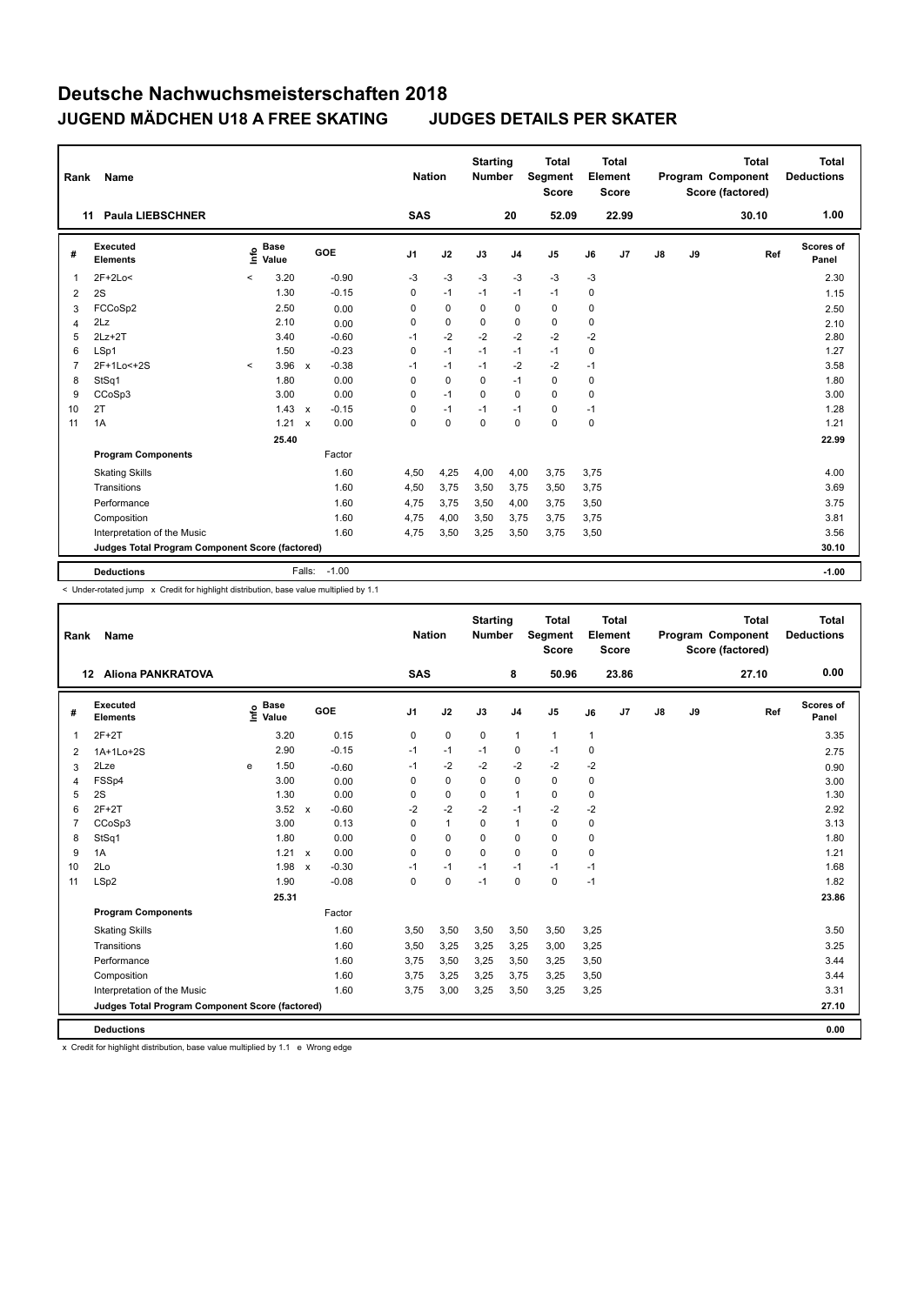| Rank           | Name                                            |         |                      |                           |            |                | <b>Nation</b> | <b>Starting</b><br><b>Number</b> |                | <b>Total</b><br><b>Segment</b><br><b>Score</b> |      | <b>Total</b><br>Element<br><b>Score</b> |    |    | <b>Total</b><br>Program Component<br>Score (factored) | <b>Total</b><br><b>Deductions</b> |
|----------------|-------------------------------------------------|---------|----------------------|---------------------------|------------|----------------|---------------|----------------------------------|----------------|------------------------------------------------|------|-----------------------------------------|----|----|-------------------------------------------------------|-----------------------------------|
|                | <b>Paula LIEBSCHNER</b><br>11                   |         |                      |                           |            | <b>SAS</b>     |               |                                  | 20             | 52.09                                          |      | 22.99                                   |    |    | 30.10                                                 | 1.00                              |
| #              | Executed<br><b>Elements</b>                     | ١nfo    | <b>Base</b><br>Value |                           | <b>GOE</b> | J <sub>1</sub> | J2            | J3                               | J <sub>4</sub> | J <sub>5</sub>                                 | J6   | J <sub>7</sub>                          | J8 | J9 | Ref                                                   | Scores of<br>Panel                |
|                | $2F+2Lo<$                                       | $\,<\,$ | 3.20                 |                           | $-0.90$    | -3             | $-3$          | $-3$                             | $-3$           | $-3$                                           | $-3$ |                                         |    |    |                                                       | 2.30                              |
| $\overline{2}$ | 2S                                              |         | 1.30                 |                           | $-0.15$    | 0              | $-1$          | $-1$                             | $-1$           | $-1$                                           | 0    |                                         |    |    |                                                       | 1.15                              |
| 3              | FCCoSp2                                         |         | 2.50                 |                           | 0.00       | 0              | 0             | 0                                | 0              | $\mathbf 0$                                    | 0    |                                         |    |    |                                                       | 2.50                              |
| 4              | 2Lz                                             |         | 2.10                 |                           | 0.00       | 0              | 0             | $\Omega$                         | 0              | $\mathbf 0$                                    | 0    |                                         |    |    |                                                       | 2.10                              |
| 5              | $2Lz+2T$                                        |         | 3.40                 |                           | $-0.60$    | $-1$           | $-2$          | $-2$                             | $-2$           | $-2$                                           | $-2$ |                                         |    |    |                                                       | 2.80                              |
| 6              | LSp1                                            |         | 1.50                 |                           | $-0.23$    | 0              | $-1$          | $-1$                             | $-1$           | $-1$                                           | 0    |                                         |    |    |                                                       | 1.27                              |
| 7              | 2F+1Lo<+2S                                      | $\prec$ | 3.96                 | $\mathsf{x}$              | $-0.38$    | $-1$           | $-1$          | $-1$                             | $-2$           | $-2$                                           | $-1$ |                                         |    |    |                                                       | 3.58                              |
| 8              | StSq1                                           |         | 1.80                 |                           | 0.00       | 0              | $\mathbf 0$   | $\Omega$                         | $-1$           | $\mathbf 0$                                    | 0    |                                         |    |    |                                                       | 1.80                              |
| 9              | CCoSp3                                          |         | 3.00                 |                           | 0.00       | 0              | $-1$          | $\Omega$                         | $\Omega$       | $\Omega$                                       | 0    |                                         |    |    |                                                       | 3.00                              |
| 10             | 2T                                              |         | 1.43                 | $\mathsf{x}$              | $-0.15$    | 0              | $-1$          | $-1$                             | $-1$           | $\mathbf 0$                                    | $-1$ |                                         |    |    |                                                       | 1.28                              |
| 11             | 1A                                              |         | 1.21                 | $\boldsymbol{\mathsf{x}}$ | 0.00       | 0              | $\mathbf 0$   | $\mathbf 0$                      | $\mathbf 0$    | $\mathbf 0$                                    | 0    |                                         |    |    |                                                       | 1.21                              |
|                |                                                 |         | 25.40                |                           |            |                |               |                                  |                |                                                |      |                                         |    |    |                                                       | 22.99                             |
|                | <b>Program Components</b>                       |         |                      |                           | Factor     |                |               |                                  |                |                                                |      |                                         |    |    |                                                       |                                   |
|                | <b>Skating Skills</b>                           |         |                      |                           | 1.60       | 4,50           | 4,25          | 4,00                             | 4,00           | 3,75                                           | 3,75 |                                         |    |    |                                                       | 4.00                              |
|                | Transitions                                     |         |                      |                           | 1.60       | 4,50           | 3,75          | 3,50                             | 3,75           | 3,50                                           | 3,75 |                                         |    |    |                                                       | 3.69                              |
|                | Performance                                     |         |                      |                           | 1.60       | 4,75           | 3,75          | 3,50                             | 4,00           | 3,75                                           | 3,50 |                                         |    |    |                                                       | 3.75                              |
|                | Composition                                     |         |                      |                           | 1.60       | 4,75           | 4,00          | 3,50                             | 3,75           | 3,75                                           | 3,75 |                                         |    |    |                                                       | 3.81                              |
|                | Interpretation of the Music                     |         |                      |                           | 1.60       | 4,75           | 3,50          | 3,25                             | 3,50           | 3,75                                           | 3,50 |                                         |    |    |                                                       | 3.56                              |
|                | Judges Total Program Component Score (factored) |         |                      |                           |            |                |               |                                  |                |                                                |      |                                         |    |    |                                                       | 30.10                             |
|                | <b>Deductions</b>                               |         |                      | Falls:                    | $-1.00$    |                |               |                                  |                |                                                |      |                                         |    |    |                                                       | $-1.00$                           |

 $<$  Under-rotated jump  $\times$  Credit for highlight distribution, base value multiplied by 1.1

| Rank           | Name                                            |   |                                  |              |         |                | <b>Nation</b> |              | <b>Starting</b><br><b>Number</b> |                | <b>Total</b><br>Segment<br><b>Score</b> |      | <b>Total</b><br>Element<br><b>Score</b> |               |    | <b>Total</b><br>Program Component<br>Score (factored) |     | <b>Total</b><br><b>Deductions</b> |
|----------------|-------------------------------------------------|---|----------------------------------|--------------|---------|----------------|---------------|--------------|----------------------------------|----------------|-----------------------------------------|------|-----------------------------------------|---------------|----|-------------------------------------------------------|-----|-----------------------------------|
|                | <b>Aliona PANKRATOVA</b><br>12 <sup>12</sup>    |   |                                  |              |         | <b>SAS</b>     |               |              |                                  | 8              | 50.96                                   |      | 23.86                                   |               |    | 27.10                                                 |     | 0.00                              |
| #              | Executed<br><b>Elements</b>                     |   | <b>Base</b><br>o Base<br>⊆ Value |              | GOE     | J <sub>1</sub> |               | J2           | J3                               | J <sub>4</sub> | J <sub>5</sub>                          | J6   | J7                                      | $\mathsf{J}8$ | J9 |                                                       | Ref | Scores of<br>Panel                |
| 1              | $2F+2T$                                         |   | 3.20                             |              | 0.15    | 0              |               | $\pmb{0}$    | $\mathbf 0$                      | $\mathbf{1}$   | $\mathbf{1}$                            | 1    |                                         |               |    |                                                       |     | 3.35                              |
| $\overline{2}$ | 1A+1Lo+2S                                       |   | 2.90                             |              | $-0.15$ | $-1$           |               | $-1$         | $-1$                             | 0              | $-1$                                    | 0    |                                         |               |    |                                                       |     | 2.75                              |
| 3              | 2Lze                                            | e | 1.50                             |              | $-0.60$ | $-1$           |               | -2           | $-2$                             | $-2$           | -2                                      | $-2$ |                                         |               |    |                                                       |     | 0.90                              |
| 4              | FSSp4                                           |   | 3.00                             |              | 0.00    | 0              |               | $\mathbf 0$  | 0                                | 0              | $\mathbf 0$                             | 0    |                                         |               |    |                                                       |     | 3.00                              |
| 5              | 2S                                              |   | 1.30                             |              | 0.00    | 0              |               | $\mathbf 0$  | 0                                | 1              | $\mathbf 0$                             | 0    |                                         |               |    |                                                       |     | 1.30                              |
| 6              | $2F+2T$                                         |   | 3.52                             | $\mathsf{x}$ | $-0.60$ | $-2$           |               | $-2$         | $-2$                             | $-1$           | $-2$                                    | $-2$ |                                         |               |    |                                                       |     | 2.92                              |
| $\overline{7}$ | CCoSp3                                          |   | 3.00                             |              | 0.13    | 0              |               | $\mathbf{1}$ | 0                                | 1              | 0                                       | 0    |                                         |               |    |                                                       |     | 3.13                              |
| 8              | StSq1                                           |   | 1.80                             |              | 0.00    | $\Omega$       |               | $\Omega$     | 0                                | $\mathbf 0$    | $\Omega$                                | 0    |                                         |               |    |                                                       |     | 1.80                              |
| 9              | 1A                                              |   | 1.21                             | $\mathsf{x}$ | 0.00    | 0              |               | $\mathbf 0$  | $\Omega$                         | 0              | $\Omega$                                | 0    |                                         |               |    |                                                       |     | 1.21                              |
| 10             | 2Lo                                             |   | 1.98                             | $\mathsf{x}$ | $-0.30$ | $-1$           |               | $-1$         | $-1$                             | $-1$           | $-1$                                    | $-1$ |                                         |               |    |                                                       |     | 1.68                              |
| 11             | LSp2                                            |   | 1.90                             |              | $-0.08$ | 0              |               | $\mathbf 0$  | $-1$                             | 0              | $\mathbf 0$                             | $-1$ |                                         |               |    |                                                       |     | 1.82                              |
|                |                                                 |   | 25.31                            |              |         |                |               |              |                                  |                |                                         |      |                                         |               |    |                                                       |     | 23.86                             |
|                | <b>Program Components</b>                       |   |                                  |              | Factor  |                |               |              |                                  |                |                                         |      |                                         |               |    |                                                       |     |                                   |
|                | <b>Skating Skills</b>                           |   |                                  |              | 1.60    | 3,50           |               | 3,50         | 3,50                             | 3,50           | 3,50                                    | 3,25 |                                         |               |    |                                                       |     | 3.50                              |
|                | Transitions                                     |   |                                  |              | 1.60    | 3,50           |               | 3,25         | 3,25                             | 3,25           | 3,00                                    | 3,25 |                                         |               |    |                                                       |     | 3.25                              |
|                | Performance                                     |   |                                  |              | 1.60    | 3,75           |               | 3,50         | 3,25                             | 3,50           | 3,25                                    | 3,50 |                                         |               |    |                                                       |     | 3.44                              |
|                | Composition                                     |   |                                  |              | 1.60    | 3,75           |               | 3,25         | 3,25                             | 3,75           | 3,25                                    | 3,50 |                                         |               |    |                                                       |     | 3.44                              |
|                | Interpretation of the Music                     |   |                                  |              | 1.60    | 3,75           |               | 3,00         | 3,25                             | 3,50           | 3,25                                    | 3,25 |                                         |               |    |                                                       |     | 3.31                              |
|                | Judges Total Program Component Score (factored) |   |                                  |              |         |                |               |              |                                  |                |                                         |      |                                         |               |    |                                                       |     | 27.10                             |
|                | <b>Deductions</b>                               |   |                                  |              |         |                |               |              |                                  |                |                                         |      |                                         |               |    |                                                       |     | 0.00                              |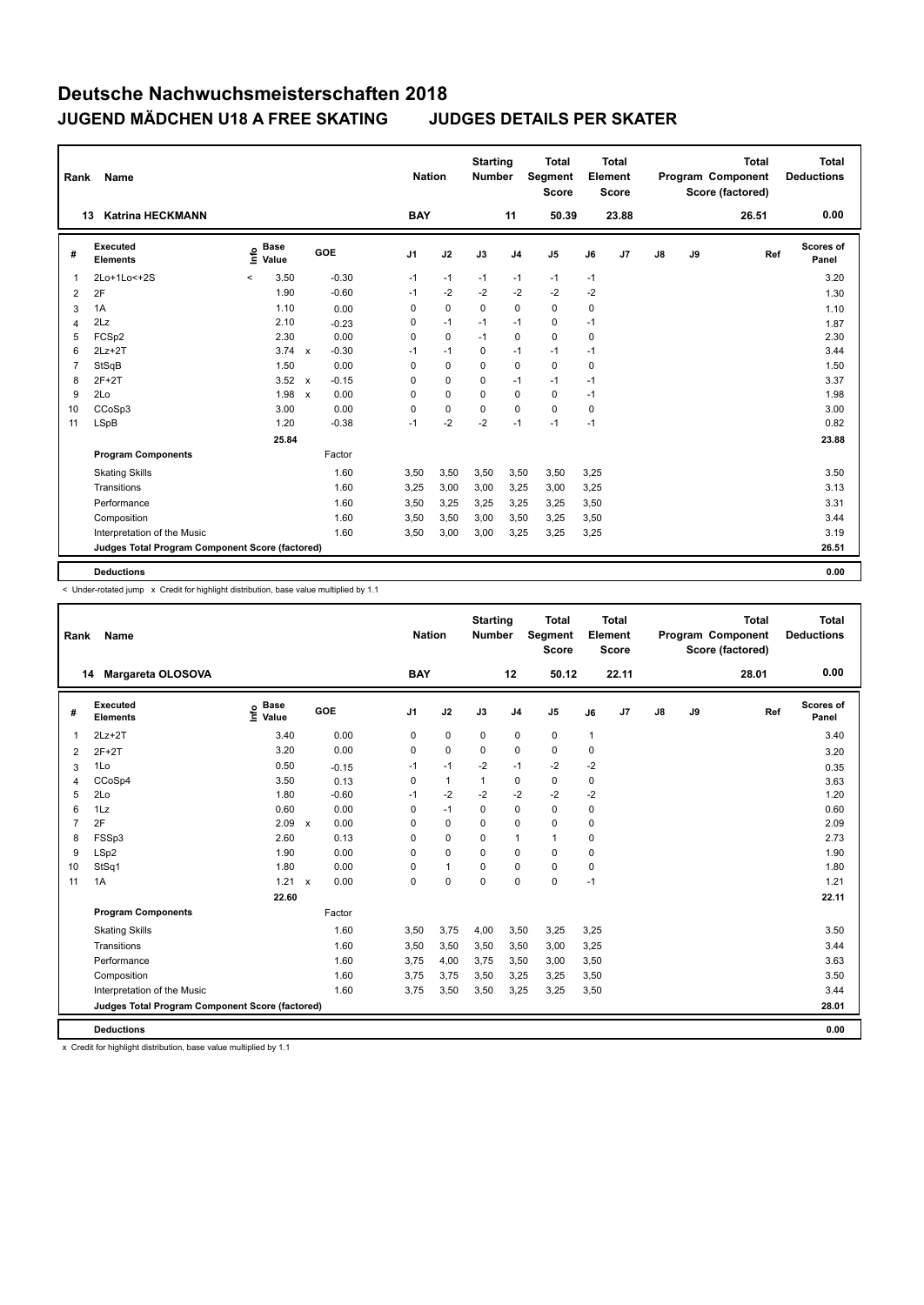| Rank | Name                                            |                            |                         | <b>Nation</b>  |             | <b>Starting</b><br><b>Number</b> |                | Total<br>Segment<br><b>Score</b> |      | <b>Total</b><br>Element<br><b>Score</b> |    |    | <b>Total</b><br>Program Component<br>Score (factored) | <b>Total</b><br><b>Deductions</b> |
|------|-------------------------------------------------|----------------------------|-------------------------|----------------|-------------|----------------------------------|----------------|----------------------------------|------|-----------------------------------------|----|----|-------------------------------------------------------|-----------------------------------|
|      | <b>Katrina HECKMANN</b><br>13                   |                            |                         | <b>BAY</b>     |             |                                  | 11             | 50.39                            |      | 23.88                                   |    |    | 26.51                                                 | 0.00                              |
| #    | <b>Executed</b><br><b>Elements</b>              | <b>Base</b><br>۴ô<br>Value | GOE                     | J <sub>1</sub> | J2          | J3                               | J <sub>4</sub> | J <sub>5</sub>                   | J6   | J <sub>7</sub>                          | J8 | J9 | Ref                                                   | Scores of<br>Panel                |
| 1    | 2Lo+1Lo<+2S                                     | 3.50<br>$\,<\,$            | $-0.30$                 | $-1$           | $-1$        | $-1$                             | $-1$           | $-1$                             | $-1$ |                                         |    |    |                                                       | 3.20                              |
| 2    | 2F                                              | 1.90                       | $-0.60$                 | $-1$           | $-2$        | $-2$                             | $-2$           | $-2$                             | $-2$ |                                         |    |    |                                                       | 1.30                              |
| 3    | 1A                                              | 1.10                       | 0.00                    | 0              | $\mathbf 0$ | $\mathbf 0$                      | $\mathbf 0$    | 0                                | 0    |                                         |    |    |                                                       | 1.10                              |
| 4    | 2Lz                                             | 2.10                       | $-0.23$                 | 0              | $-1$        | $-1$                             | $-1$           | 0                                | $-1$ |                                         |    |    |                                                       | 1.87                              |
| 5    | FCSp2                                           | 2.30                       | 0.00                    | 0              | $\pmb{0}$   | $-1$                             | 0              | 0                                | 0    |                                         |    |    |                                                       | 2.30                              |
| 6    | $2Lz+2T$                                        | 3.74                       | $-0.30$<br>$\mathsf{x}$ | $-1$           | $-1$        | 0                                | $-1$           | $-1$                             | $-1$ |                                         |    |    |                                                       | 3.44                              |
| 7    | StSqB                                           | 1.50                       | 0.00                    | 0              | $\mathbf 0$ | 0                                | $\mathbf 0$    | 0                                | 0    |                                         |    |    |                                                       | 1.50                              |
| 8    | $2F+2T$                                         | 3.52                       | $-0.15$<br>$\mathsf{x}$ | 0              | $\mathbf 0$ | 0                                | $-1$           | $-1$                             | $-1$ |                                         |    |    |                                                       | 3.37                              |
| 9    | 2Lo                                             | 1.98                       | 0.00<br>$\mathsf{x}$    | 0              | $\mathbf 0$ | 0                                | $\mathbf 0$    | 0                                | $-1$ |                                         |    |    |                                                       | 1.98                              |
| 10   | CCoSp3                                          | 3.00                       | 0.00                    | 0              | $\mathbf 0$ | 0                                | $\mathbf 0$    | 0                                | 0    |                                         |    |    |                                                       | 3.00                              |
| 11   | LSpB                                            | 1.20                       | $-0.38$                 | $-1$           | $-2$        | $-2$                             | $-1$           | $-1$                             | $-1$ |                                         |    |    |                                                       | 0.82                              |
|      |                                                 | 25.84                      |                         |                |             |                                  |                |                                  |      |                                         |    |    |                                                       | 23.88                             |
|      | <b>Program Components</b>                       |                            | Factor                  |                |             |                                  |                |                                  |      |                                         |    |    |                                                       |                                   |
|      | <b>Skating Skills</b>                           |                            | 1.60                    | 3,50           | 3,50        | 3,50                             | 3,50           | 3,50                             | 3,25 |                                         |    |    |                                                       | 3.50                              |
|      | Transitions                                     |                            | 1.60                    | 3,25           | 3,00        | 3,00                             | 3,25           | 3,00                             | 3,25 |                                         |    |    |                                                       | 3.13                              |
|      | Performance                                     |                            | 1.60                    | 3,50           | 3,25        | 3,25                             | 3,25           | 3,25                             | 3,50 |                                         |    |    |                                                       | 3.31                              |
|      | Composition                                     |                            | 1.60                    | 3,50           | 3,50        | 3,00                             | 3,50           | 3,25                             | 3,50 |                                         |    |    |                                                       | 3.44                              |
|      | Interpretation of the Music                     |                            | 1.60                    | 3,50           | 3,00        | 3,00                             | 3,25           | 3,25                             | 3,25 |                                         |    |    |                                                       | 3.19                              |
|      | Judges Total Program Component Score (factored) |                            |                         |                |             |                                  |                |                                  |      |                                         |    |    |                                                       | 26.51                             |
|      | <b>Deductions</b>                               |                            |                         |                |             |                                  |                |                                  |      |                                         |    |    |                                                       | 0.00                              |

-<br>< Under-rotated jump x Credit for highlight distribution, base value multiplied by 1.1

| Rank           | Name                                            |                              |                                   |                | <b>Nation</b> | <b>Starting</b><br><b>Number</b> |                | Total<br>Segment<br><b>Score</b> |              | Total<br>Element<br><b>Score</b> |               |    | <b>Total</b><br>Program Component<br>Score (factored) | <b>Total</b><br><b>Deductions</b> |
|----------------|-------------------------------------------------|------------------------------|-----------------------------------|----------------|---------------|----------------------------------|----------------|----------------------------------|--------------|----------------------------------|---------------|----|-------------------------------------------------------|-----------------------------------|
|                | Margareta OLOSOVA<br>14                         |                              |                                   | <b>BAY</b>     |               |                                  | 12             | 50.12                            |              | 22.11                            |               |    | 28.01                                                 | 0.00                              |
| #              | Executed<br><b>Elements</b>                     | <b>Base</b><br>Info<br>Value | <b>GOE</b>                        | J <sub>1</sub> | J2            | J3                               | J <sub>4</sub> | J5                               | J6           | J7                               | $\mathsf{J}8$ | J9 | Ref                                                   | Scores of<br>Panel                |
| 1              | $2Lz+2T$                                        | 3.40                         | 0.00                              | 0              | $\mathbf 0$   | 0                                | 0              | 0                                | $\mathbf{1}$ |                                  |               |    |                                                       | 3.40                              |
| 2              | $2F+2T$                                         | 3.20                         | 0.00                              | 0              | $\mathbf 0$   | $\Omega$                         | 0              | 0                                | $\pmb{0}$    |                                  |               |    |                                                       | 3.20                              |
| 3              | 1Lo                                             | 0.50                         | $-0.15$                           | $-1$           | $-1$          | $-2$                             | $-1$           | $-2$                             | $-2$         |                                  |               |    |                                                       | 0.35                              |
| 4              | CCoSp4                                          | 3.50                         | 0.13                              | 0              | $\mathbf{1}$  | 1                                | 0              | 0                                | 0            |                                  |               |    |                                                       | 3.63                              |
| 5              | 2Lo                                             | 1.80                         | $-0.60$                           | $-1$           | $-2$          | $-2$                             | $-2$           | $-2$                             | $-2$         |                                  |               |    |                                                       | 1.20                              |
| 6              | 1Lz                                             | 0.60                         | 0.00                              | 0              | $-1$          | 0                                | 0              | 0                                | 0            |                                  |               |    |                                                       | 0.60                              |
| $\overline{7}$ | 2F                                              | 2.09                         | 0.00<br>$\boldsymbol{\mathsf{x}}$ | 0              | $\mathbf 0$   | $\Omega$                         | 0              | 0                                | 0            |                                  |               |    |                                                       | 2.09                              |
| 8              | FSSp3                                           | 2.60                         | 0.13                              | 0              | 0             | 0                                | $\mathbf{1}$   | $\mathbf{1}$                     | 0            |                                  |               |    |                                                       | 2.73                              |
| 9              | LSp2                                            | 1.90                         | 0.00                              | $\Omega$       | $\mathbf 0$   | $\Omega$                         | $\mathbf 0$    | 0                                | 0            |                                  |               |    |                                                       | 1.90                              |
| 10             | StSq1                                           | 1.80                         | 0.00                              | 0              | $\mathbf{1}$  | 0                                | 0              | 0                                | $\mathbf 0$  |                                  |               |    |                                                       | 1.80                              |
| 11             | 1A                                              | 1.21                         | 0.00<br>$\mathsf{x}$              | 0              | $\mathbf 0$   | 0                                | $\mathbf 0$    | 0                                | $-1$         |                                  |               |    |                                                       | 1.21                              |
|                |                                                 | 22.60                        |                                   |                |               |                                  |                |                                  |              |                                  |               |    |                                                       | 22.11                             |
|                | <b>Program Components</b>                       |                              | Factor                            |                |               |                                  |                |                                  |              |                                  |               |    |                                                       |                                   |
|                | <b>Skating Skills</b>                           |                              | 1.60                              | 3,50           | 3,75          | 4,00                             | 3,50           | 3,25                             | 3,25         |                                  |               |    |                                                       | 3.50                              |
|                | Transitions                                     |                              | 1.60                              | 3,50           | 3,50          | 3,50                             | 3,50           | 3,00                             | 3,25         |                                  |               |    |                                                       | 3.44                              |
|                | Performance                                     |                              | 1.60                              | 3,75           | 4,00          | 3,75                             | 3,50           | 3,00                             | 3,50         |                                  |               |    |                                                       | 3.63                              |
|                | Composition                                     |                              | 1.60                              | 3,75           | 3,75          | 3,50                             | 3,25           | 3,25                             | 3,50         |                                  |               |    |                                                       | 3.50                              |
|                | Interpretation of the Music                     |                              | 1.60                              | 3,75           | 3,50          | 3,50                             | 3,25           | 3,25                             | 3,50         |                                  |               |    |                                                       | 3.44                              |
|                | Judges Total Program Component Score (factored) |                              |                                   |                |               |                                  |                |                                  |              |                                  |               |    |                                                       | 28.01                             |
|                | <b>Deductions</b>                               |                              |                                   |                |               |                                  |                |                                  |              |                                  |               |    |                                                       | 0.00                              |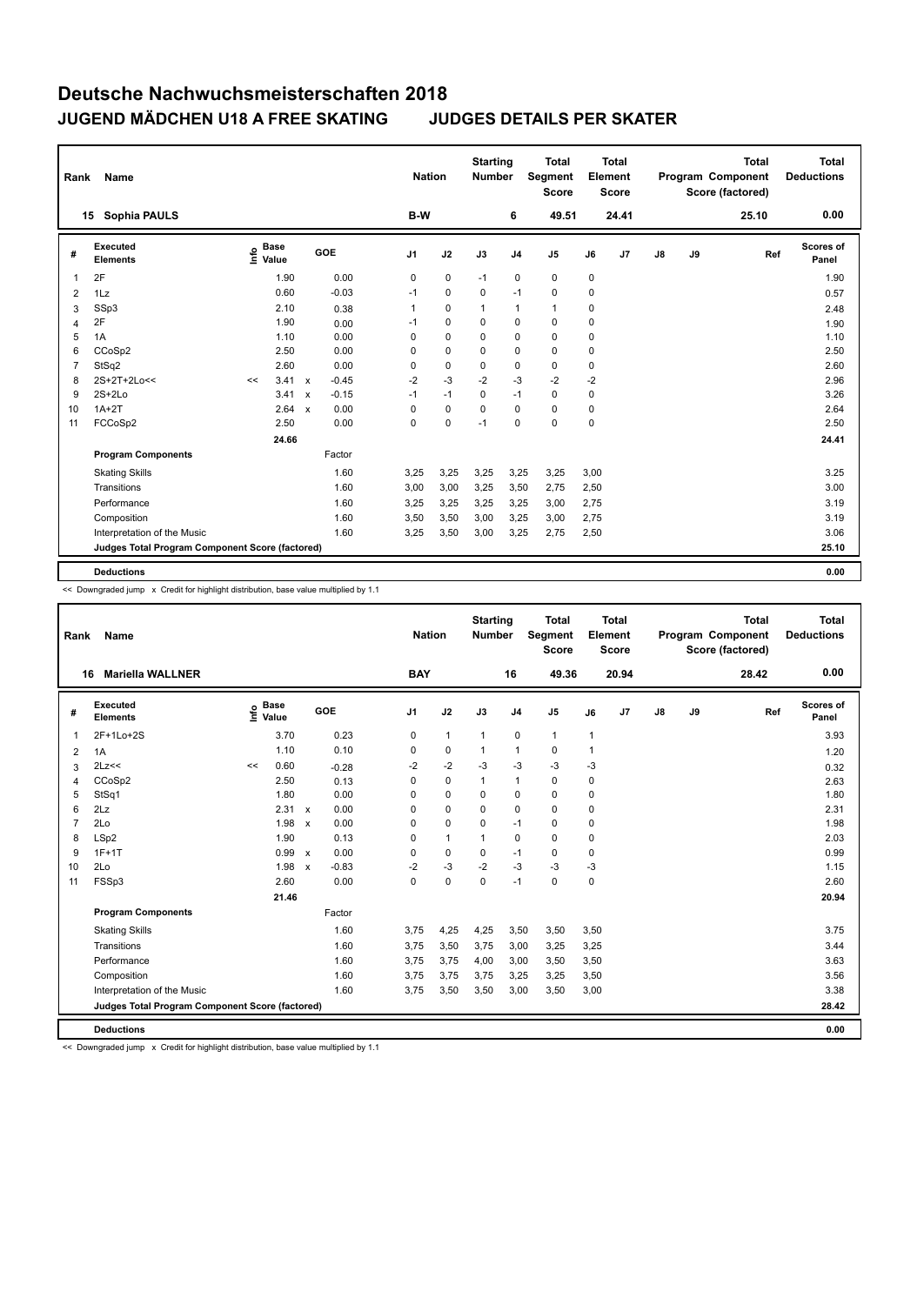| Rank           | Name                                            |    |                      |                           |         | <b>Nation</b>  |             | <b>Starting</b><br><b>Number</b> |                | <b>Total</b><br>Segment<br><b>Score</b> |      | <b>Total</b><br>Element<br><b>Score</b> |    |    | <b>Total</b><br>Program Component<br>Score (factored) | <b>Total</b><br><b>Deductions</b> |
|----------------|-------------------------------------------------|----|----------------------|---------------------------|---------|----------------|-------------|----------------------------------|----------------|-----------------------------------------|------|-----------------------------------------|----|----|-------------------------------------------------------|-----------------------------------|
|                | <b>Sophia PAULS</b><br>15                       |    |                      |                           |         | B-W            |             |                                  | 6              | 49.51                                   |      | 24.41                                   |    |    | 25.10                                                 | 0.00                              |
| #              | <b>Executed</b><br><b>Elements</b>              | ۴ô | <b>Base</b><br>Value |                           | GOE     | J <sub>1</sub> | J2          | J3                               | J <sub>4</sub> | J <sub>5</sub>                          | J6   | J <sub>7</sub>                          | J8 | J9 | Ref                                                   | Scores of<br>Panel                |
| 1              | 2F                                              |    | 1.90                 |                           | 0.00    | 0              | $\mathbf 0$ | $-1$                             | $\mathbf 0$    | 0                                       | 0    |                                         |    |    |                                                       | 1.90                              |
| 2              | 1Lz                                             |    | 0.60                 |                           | $-0.03$ | $-1$           | 0           | 0                                | $-1$           | 0                                       | 0    |                                         |    |    |                                                       | 0.57                              |
| 3              | SSp3                                            |    | 2.10                 |                           | 0.38    |                | $\mathbf 0$ | $\mathbf{1}$                     | $\mathbf{1}$   | 1                                       | 0    |                                         |    |    |                                                       | 2.48                              |
| 4              | 2F                                              |    | 1.90                 |                           | 0.00    | $-1$           | $\mathbf 0$ | $\Omega$                         | $\mathbf 0$    | 0                                       | 0    |                                         |    |    |                                                       | 1.90                              |
| 5              | 1A                                              |    | 1.10                 |                           | 0.00    | 0              | $\mathbf 0$ | 0                                | 0              | 0                                       | 0    |                                         |    |    |                                                       | 1.10                              |
| 6              | CCoSp2                                          |    | 2.50                 |                           | 0.00    | 0              | $\mathbf 0$ | 0                                | $\mathbf 0$    | 0                                       | 0    |                                         |    |    |                                                       | 2.50                              |
| $\overline{7}$ | StSq2                                           |    | 2.60                 |                           | 0.00    | 0              | $\pmb{0}$   | 0                                | $\mathbf 0$    | 0                                       | 0    |                                         |    |    |                                                       | 2.60                              |
| 8              | 2S+2T+2Lo<<                                     | << | 3.41                 | $\mathsf{x}$              | $-0.45$ | $-2$           | $-3$        | $-2$                             | $-3$           | $-2$                                    | $-2$ |                                         |    |    |                                                       | 2.96                              |
| 9              | $2S+2Lo$                                        |    | 3.41                 | $\boldsymbol{\mathsf{x}}$ | $-0.15$ | $-1$           | $-1$        | 0                                | $-1$           | 0                                       | 0    |                                         |    |    |                                                       | 3.26                              |
| 10             | $1A+2T$                                         |    | 2.64                 | $\mathsf{x}$              | 0.00    | 0              | $\mathbf 0$ | 0                                | $\mathbf 0$    | 0                                       | 0    |                                         |    |    |                                                       | 2.64                              |
| 11             | FCCoSp2                                         |    | 2.50                 |                           | 0.00    | 0              | $\mathbf 0$ | $-1$                             | $\mathbf 0$    | 0                                       | 0    |                                         |    |    |                                                       | 2.50                              |
|                |                                                 |    | 24.66                |                           |         |                |             |                                  |                |                                         |      |                                         |    |    |                                                       | 24.41                             |
|                | <b>Program Components</b>                       |    |                      |                           | Factor  |                |             |                                  |                |                                         |      |                                         |    |    |                                                       |                                   |
|                | <b>Skating Skills</b>                           |    |                      |                           | 1.60    | 3,25           | 3,25        | 3,25                             | 3,25           | 3,25                                    | 3,00 |                                         |    |    |                                                       | 3.25                              |
|                | Transitions                                     |    |                      |                           | 1.60    | 3,00           | 3,00        | 3,25                             | 3,50           | 2,75                                    | 2,50 |                                         |    |    |                                                       | 3.00                              |
|                | Performance                                     |    |                      |                           | 1.60    | 3,25           | 3,25        | 3,25                             | 3,25           | 3,00                                    | 2,75 |                                         |    |    |                                                       | 3.19                              |
|                | Composition                                     |    |                      |                           | 1.60    | 3,50           | 3,50        | 3,00                             | 3,25           | 3,00                                    | 2,75 |                                         |    |    |                                                       | 3.19                              |
|                | Interpretation of the Music                     |    |                      |                           | 1.60    | 3,25           | 3,50        | 3,00                             | 3,25           | 2,75                                    | 2,50 |                                         |    |    |                                                       | 3.06                              |
|                | Judges Total Program Component Score (factored) |    |                      |                           |         |                |             |                                  |                |                                         |      |                                         |    |    |                                                       | 25.10                             |
|                | <b>Deductions</b>                               |    |                      |                           |         |                |             |                                  |                |                                         |      |                                         |    |    |                                                       | 0.00                              |

<< Downgraded jump x Credit for highlight distribution, base value multiplied by 1.1

| Rank           | Name                                            |      |                      |              |         |                | <b>Nation</b> | <b>Starting</b><br><b>Number</b> |                | <b>Total</b><br>Segment<br><b>Score</b> |                | <b>Total</b><br>Element<br><b>Score</b> |               |    | <b>Total</b><br>Program Component<br>Score (factored) | <b>Total</b><br><b>Deductions</b> |
|----------------|-------------------------------------------------|------|----------------------|--------------|---------|----------------|---------------|----------------------------------|----------------|-----------------------------------------|----------------|-----------------------------------------|---------------|----|-------------------------------------------------------|-----------------------------------|
| 16             | <b>Mariella WALLNER</b>                         |      |                      |              |         | <b>BAY</b>     |               |                                  | 16             | 49.36                                   |                | 20.94                                   |               |    | 28.42                                                 | 0.00                              |
| #              | Executed<br><b>Elements</b>                     | Info | <b>Base</b><br>Value |              | GOE     | J <sub>1</sub> | J2            | J3                               | J <sub>4</sub> | J <sub>5</sub>                          | J6             | J <sub>7</sub>                          | $\mathsf{J}8$ | J9 | Ref                                                   | Scores of<br>Panel                |
| $\mathbf 1$    | 2F+1Lo+2S                                       |      | 3.70                 |              | 0.23    | 0              | $\mathbf{1}$  | $\mathbf{1}$                     | $\mathbf 0$    | $\mathbf{1}$                            | $\mathbf{1}$   |                                         |               |    |                                                       | 3.93                              |
| 2              | 1A                                              |      | 1.10                 |              | 0.10    | $\Omega$       | 0             | 1                                | $\mathbf{1}$   | 0                                       | $\overline{1}$ |                                         |               |    |                                                       | 1.20                              |
| 3              | 2Lz<<                                           | <<   | 0.60                 |              | $-0.28$ | $-2$           | $-2$          | $-3$                             | $-3$           | $-3$                                    | -3             |                                         |               |    |                                                       | 0.32                              |
| 4              | CCoSp2                                          |      | 2.50                 |              | 0.13    | $\Omega$       | $\Omega$      | 1                                | $\mathbf{1}$   | 0                                       | $\pmb{0}$      |                                         |               |    |                                                       | 2.63                              |
| 5              | StSq1                                           |      | 1.80                 |              | 0.00    | 0              | $\mathbf 0$   | 0                                | 0              | 0                                       | 0              |                                         |               |    |                                                       | 1.80                              |
| 6              | 2Lz                                             |      | $2.31 \times$        |              | 0.00    | $\Omega$       | $\mathbf 0$   | $\Omega$                         | 0              | $\Omega$                                | 0              |                                         |               |    |                                                       | 2.31                              |
| $\overline{7}$ | 2Lo                                             |      | 1.98                 | $\mathsf{x}$ | 0.00    | 0              | $\mathbf 0$   | 0                                | $-1$           | 0                                       | 0              |                                         |               |    |                                                       | 1.98                              |
| 8              | LSp2                                            |      | 1.90                 |              | 0.13    | 0              | $\mathbf{1}$  | $\mathbf 1$                      | 0              | 0                                       | 0              |                                         |               |    |                                                       | 2.03                              |
| 9              | $1F+1T$                                         |      | 0.99                 | $\mathsf{x}$ | 0.00    | 0              | 0             | 0                                | $-1$           | 0                                       | 0              |                                         |               |    |                                                       | 0.99                              |
| 10             | 2Lo                                             |      | 1.98                 | $\mathsf{x}$ | $-0.83$ | $-2$           | $-3$          | $-2$                             | $-3$           | $-3$                                    | -3             |                                         |               |    |                                                       | 1.15                              |
| 11             | FSSp3                                           |      | 2.60                 |              | 0.00    | $\mathbf 0$    | $\mathbf 0$   | $\mathbf 0$                      | $-1$           | 0                                       | $\mathbf 0$    |                                         |               |    |                                                       | 2.60                              |
|                |                                                 |      | 21.46                |              |         |                |               |                                  |                |                                         |                |                                         |               |    |                                                       | 20.94                             |
|                | <b>Program Components</b>                       |      |                      |              | Factor  |                |               |                                  |                |                                         |                |                                         |               |    |                                                       |                                   |
|                | <b>Skating Skills</b>                           |      |                      |              | 1.60    | 3,75           | 4,25          | 4,25                             | 3,50           | 3,50                                    | 3,50           |                                         |               |    |                                                       | 3.75                              |
|                | Transitions                                     |      |                      |              | 1.60    | 3.75           | 3,50          | 3,75                             | 3,00           | 3,25                                    | 3,25           |                                         |               |    |                                                       | 3.44                              |
|                | Performance                                     |      |                      |              | 1.60    | 3,75           | 3,75          | 4,00                             | 3,00           | 3,50                                    | 3,50           |                                         |               |    |                                                       | 3.63                              |
|                | Composition                                     |      |                      |              | 1.60    | 3.75           | 3,75          | 3,75                             | 3,25           | 3,25                                    | 3,50           |                                         |               |    |                                                       | 3.56                              |
|                | Interpretation of the Music                     |      |                      |              | 1.60    | 3,75           | 3,50          | 3,50                             | 3,00           | 3,50                                    | 3,00           |                                         |               |    |                                                       | 3.38                              |
|                | Judges Total Program Component Score (factored) |      |                      |              |         |                |               |                                  |                |                                         |                |                                         |               |    |                                                       | 28.42                             |
|                | <b>Deductions</b>                               |      |                      |              |         |                |               |                                  |                |                                         |                |                                         |               |    |                                                       | 0.00                              |

<< Downgraded jump x Credit for highlight distribution, base value multiplied by 1.1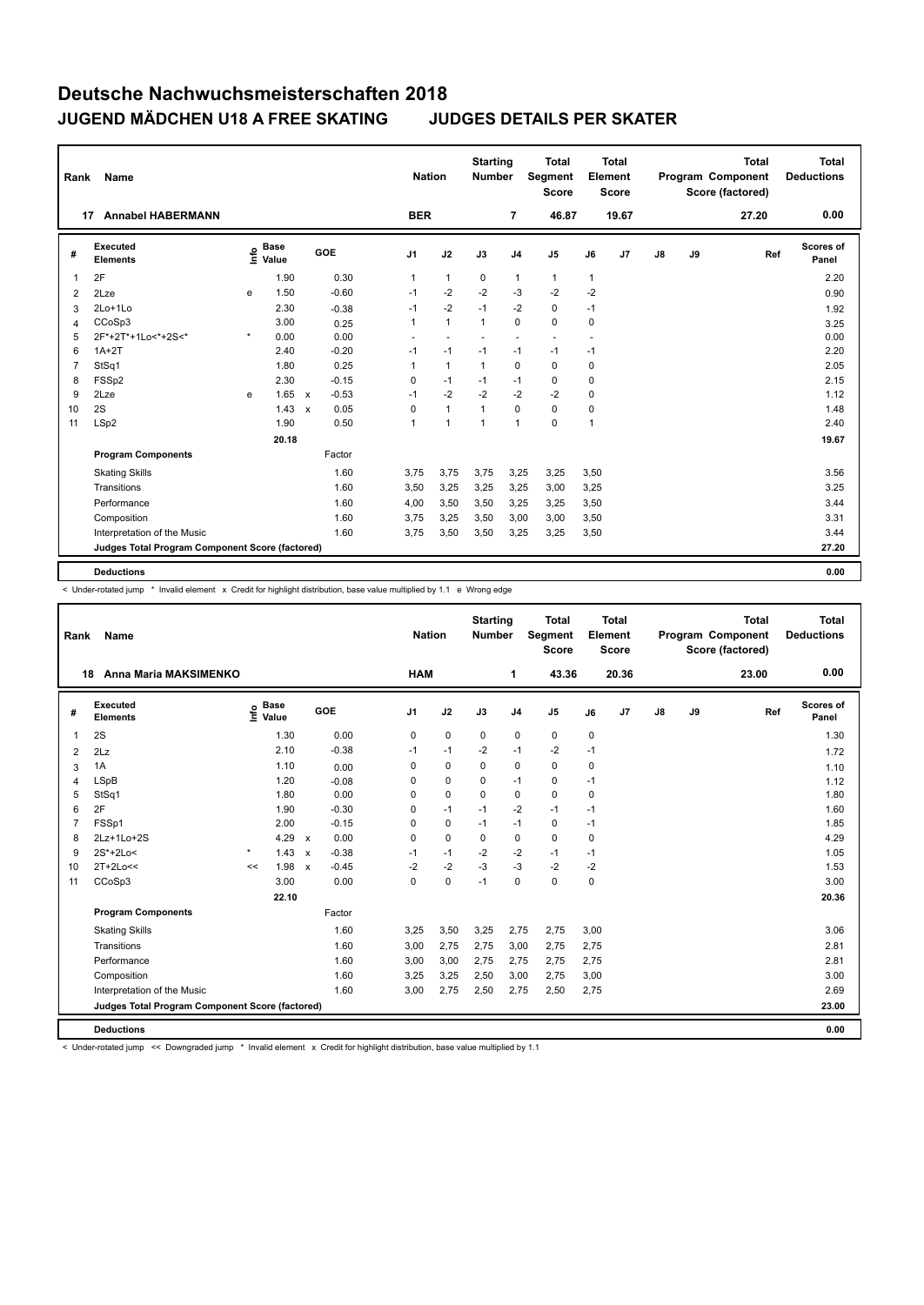| Rank           | Name                                            |         |                      |              |         | <b>Nation</b>  |              | <b>Starting</b><br><b>Number</b> |                          | <b>Total</b><br>Segment<br><b>Score</b> |                | Total<br>Element<br><b>Score</b> |               |    | <b>Total</b><br>Program Component<br>Score (factored) | <b>Total</b><br><b>Deductions</b> |
|----------------|-------------------------------------------------|---------|----------------------|--------------|---------|----------------|--------------|----------------------------------|--------------------------|-----------------------------------------|----------------|----------------------------------|---------------|----|-------------------------------------------------------|-----------------------------------|
| 17             | <b>Annabel HABERMANN</b>                        |         |                      |              |         | <b>BER</b>     |              |                                  | $\overline{7}$           | 46.87                                   |                | 19.67                            |               |    | 27.20                                                 | 0.00                              |
| #              | <b>Executed</b><br><b>Elements</b>              | ١nfo    | <b>Base</b><br>Value |              | GOE     | J <sub>1</sub> | J2           | J3                               | J <sub>4</sub>           | J <sub>5</sub>                          | J6             | J7                               | $\mathsf{J}8$ | J9 | Ref                                                   | <b>Scores of</b><br>Panel         |
| 1              | 2F                                              |         | 1.90                 |              | 0.30    | $\mathbf{1}$   | $\mathbf{1}$ | 0                                | 1                        | $\mathbf{1}$                            | $\mathbf{1}$   |                                  |               |    |                                                       | 2.20                              |
| $\overline{2}$ | 2Lze                                            | e       | 1.50                 |              | $-0.60$ | $-1$           | $-2$         | $-2$                             | $-3$                     | $-2$                                    | $-2$           |                                  |               |    |                                                       | 0.90                              |
| 3              | 2Lo+1Lo                                         |         | 2.30                 |              | $-0.38$ | $-1$           | $-2$         | $-1$                             | $-2$                     | 0                                       | $-1$           |                                  |               |    |                                                       | 1.92                              |
| 4              | CCoSp3                                          |         | 3.00                 |              | 0.25    | $\mathbf{1}$   | $\mathbf{1}$ | $\mathbf{1}$                     | $\Omega$                 | $\Omega$                                | 0              |                                  |               |    |                                                       | 3.25                              |
| 5              | 2F*+2T*+1Lo<*+2S<*                              | $\star$ | 0.00                 |              | 0.00    |                |              |                                  | $\overline{\phantom{a}}$ | $\overline{a}$                          |                |                                  |               |    |                                                       | 0.00                              |
| 6              | $1A+2T$                                         |         | 2.40                 |              | $-0.20$ | $-1$           | $-1$         | $-1$                             | $-1$                     | $-1$                                    | $-1$           |                                  |               |    |                                                       | 2.20                              |
| $\overline{7}$ | StSq1                                           |         | 1.80                 |              | 0.25    | $\mathbf{1}$   | $\mathbf{1}$ | $\mathbf{1}$                     | $\mathbf 0$              | 0                                       | 0              |                                  |               |    |                                                       | 2.05                              |
| 8              | FSSp2                                           |         | 2.30                 |              | $-0.15$ | $\mathbf 0$    | $-1$         | $-1$                             | $-1$                     | 0                                       | 0              |                                  |               |    |                                                       | 2.15                              |
| 9              | 2Lze                                            | e       | 1.65                 | $\mathsf{x}$ | $-0.53$ | $-1$           | $-2$         | $-2$                             | $-2$                     | $-2$                                    | 0              |                                  |               |    |                                                       | 1.12                              |
| 10             | 2S                                              |         | 1.43                 | $\mathbf{x}$ | 0.05    | $\Omega$       | $\mathbf{1}$ | $\mathbf{1}$                     | $\Omega$                 | 0                                       | 0              |                                  |               |    |                                                       | 1.48                              |
| 11             | LSp2                                            |         | 1.90                 |              | 0.50    | 1              | $\mathbf{1}$ | $\overline{1}$                   | $\mathbf{1}$             | 0                                       | $\overline{1}$ |                                  |               |    |                                                       | 2.40                              |
|                |                                                 |         | 20.18                |              |         |                |              |                                  |                          |                                         |                |                                  |               |    |                                                       | 19.67                             |
|                | <b>Program Components</b>                       |         |                      |              | Factor  |                |              |                                  |                          |                                         |                |                                  |               |    |                                                       |                                   |
|                | <b>Skating Skills</b>                           |         |                      |              | 1.60    | 3.75           | 3,75         | 3,75                             | 3,25                     | 3,25                                    | 3,50           |                                  |               |    |                                                       | 3.56                              |
|                | Transitions                                     |         |                      |              | 1.60    | 3,50           | 3,25         | 3,25                             | 3,25                     | 3,00                                    | 3,25           |                                  |               |    |                                                       | 3.25                              |
|                | Performance                                     |         |                      |              | 1.60    | 4,00           | 3,50         | 3,50                             | 3,25                     | 3,25                                    | 3,50           |                                  |               |    |                                                       | 3.44                              |
|                | Composition                                     |         |                      |              | 1.60    | 3,75           | 3,25         | 3,50                             | 3,00                     | 3,00                                    | 3,50           |                                  |               |    |                                                       | 3.31                              |
|                | Interpretation of the Music                     |         |                      |              | 1.60    | 3,75           | 3,50         | 3,50                             | 3,25                     | 3,25                                    | 3,50           |                                  |               |    |                                                       | 3.44                              |
|                | Judges Total Program Component Score (factored) |         |                      |              |         |                |              |                                  |                          |                                         |                |                                  |               |    |                                                       | 27.20                             |
|                | <b>Deductions</b>                               |         |                      |              |         |                |              |                                  |                          |                                         |                |                                  |               |    |                                                       | 0.00                              |

< Under-rotated jump \* Invalid element x Credit for highlight distribution, base value multiplied by 1.1 e Wrong edge

| Rank | Name                                            |         |                      |                           |         |                | <b>Nation</b> |             | <b>Starting</b><br><b>Number</b> |                | <b>Total</b><br>Segment<br><b>Score</b> |             | <b>Total</b><br>Element<br><b>Score</b> |               |    | <b>Total</b><br>Program Component<br>Score (factored) | <b>Total</b><br><b>Deductions</b> |
|------|-------------------------------------------------|---------|----------------------|---------------------------|---------|----------------|---------------|-------------|----------------------------------|----------------|-----------------------------------------|-------------|-----------------------------------------|---------------|----|-------------------------------------------------------|-----------------------------------|
|      | Anna Maria MAKSIMENKO<br>18                     |         |                      |                           |         |                | <b>HAM</b>    |             |                                  | 1              | 43.36                                   |             | 20.36                                   |               |    | 23.00                                                 | 0.00                              |
| #    | Executed<br><b>Elements</b>                     | ۴٥      | <b>Base</b><br>Value |                           | GOE     | J <sub>1</sub> |               | J2          | J3                               | J <sub>4</sub> | J <sub>5</sub>                          | J6          | J7                                      | $\mathsf{J}8$ | J9 | Ref                                                   | Scores of<br>Panel                |
| 1    | 2S                                              |         | 1.30                 |                           | 0.00    | 0              |               | $\mathbf 0$ | 0                                | $\pmb{0}$      | $\mathbf 0$                             | $\mathbf 0$ |                                         |               |    |                                                       | 1.30                              |
| 2    | 2Lz                                             |         | 2.10                 |                           | $-0.38$ | $-1$           |               | $-1$        | $-2$                             | $-1$           | $-2$                                    | $-1$        |                                         |               |    |                                                       | 1.72                              |
| 3    | 1A                                              |         | 1.10                 |                           | 0.00    | 0              |               | 0           | 0                                | $\mathbf 0$    | $\mathbf 0$                             | 0           |                                         |               |    |                                                       | 1.10                              |
| 4    | <b>LSpB</b>                                     |         | 1.20                 |                           | $-0.08$ | 0              |               | $\mathbf 0$ | 0                                | $-1$           | 0                                       | $-1$        |                                         |               |    |                                                       | 1.12                              |
| 5    | StSq1                                           |         | 1.80                 |                           | 0.00    | 0              |               | $\mathbf 0$ | $\Omega$                         | $\mathbf 0$    | $\mathbf 0$                             | 0           |                                         |               |    |                                                       | 1.80                              |
| 6    | 2F                                              |         | 1.90                 |                           | $-0.30$ | 0              |               | $-1$        | $-1$                             | $-2$           | $-1$                                    | $-1$        |                                         |               |    |                                                       | 1.60                              |
| 7    | FSSp1                                           |         | 2.00                 |                           | $-0.15$ | 0              |               | $\mathbf 0$ | $-1$                             | $-1$           | $\mathbf 0$                             | $-1$        |                                         |               |    |                                                       | 1.85                              |
| 8    | 2Lz+1Lo+2S                                      |         | 4.29                 | $\mathsf{x}$              | 0.00    | 0              |               | $\mathbf 0$ | $\mathbf 0$                      | $\mathbf 0$    | $\mathbf 0$                             | 0           |                                         |               |    |                                                       | 4.29                              |
| 9    | 2S*+2Lo<                                        | $\star$ | 1.43                 | $\boldsymbol{\mathsf{x}}$ | $-0.38$ | $-1$           |               | $-1$        | $-2$                             | $-2$           | $-1$                                    | $-1$        |                                         |               |    |                                                       | 1.05                              |
| 10   | $2T+2Lo<<$                                      | <<      | 1.98                 | $\boldsymbol{\mathsf{x}}$ | $-0.45$ | $-2$           |               | $-2$        | $-3$                             | $-3$           | $-2$                                    | $-2$        |                                         |               |    |                                                       | 1.53                              |
| 11   | CCoSp3                                          |         | 3.00                 |                           | 0.00    | $\Omega$       |               | $\mathbf 0$ | $-1$                             | $\mathbf 0$    | $\mathbf 0$                             | 0           |                                         |               |    |                                                       | 3.00                              |
|      |                                                 |         | 22.10                |                           |         |                |               |             |                                  |                |                                         |             |                                         |               |    |                                                       | 20.36                             |
|      | <b>Program Components</b>                       |         |                      |                           | Factor  |                |               |             |                                  |                |                                         |             |                                         |               |    |                                                       |                                   |
|      | <b>Skating Skills</b>                           |         |                      |                           | 1.60    | 3,25           |               | 3,50        | 3,25                             | 2,75           | 2,75                                    | 3,00        |                                         |               |    |                                                       | 3.06                              |
|      | Transitions                                     |         |                      |                           | 1.60    | 3,00           |               | 2,75        | 2,75                             | 3,00           | 2,75                                    | 2,75        |                                         |               |    |                                                       | 2.81                              |
|      | Performance                                     |         |                      |                           | 1.60    | 3,00           |               | 3,00        | 2,75                             | 2,75           | 2,75                                    | 2,75        |                                         |               |    |                                                       | 2.81                              |
|      | Composition                                     |         |                      |                           | 1.60    | 3,25           |               | 3,25        | 2,50                             | 3,00           | 2,75                                    | 3,00        |                                         |               |    |                                                       | 3.00                              |
|      | Interpretation of the Music                     |         |                      |                           | 1.60    | 3,00           |               | 2,75        | 2,50                             | 2,75           | 2,50                                    | 2,75        |                                         |               |    |                                                       | 2.69                              |
|      | Judges Total Program Component Score (factored) |         |                      |                           |         |                |               |             |                                  |                |                                         |             |                                         |               |    |                                                       | 23.00                             |
|      |                                                 |         |                      |                           |         |                |               |             |                                  |                |                                         |             |                                         |               |    |                                                       |                                   |
|      | <b>Deductions</b>                               |         |                      |                           |         |                |               |             |                                  |                |                                         |             |                                         |               |    |                                                       | 0.00                              |

< Under-rotated jump << Downgraded jump \* Invalid element x Credit for highlight distribution, base value multiplied by 1.1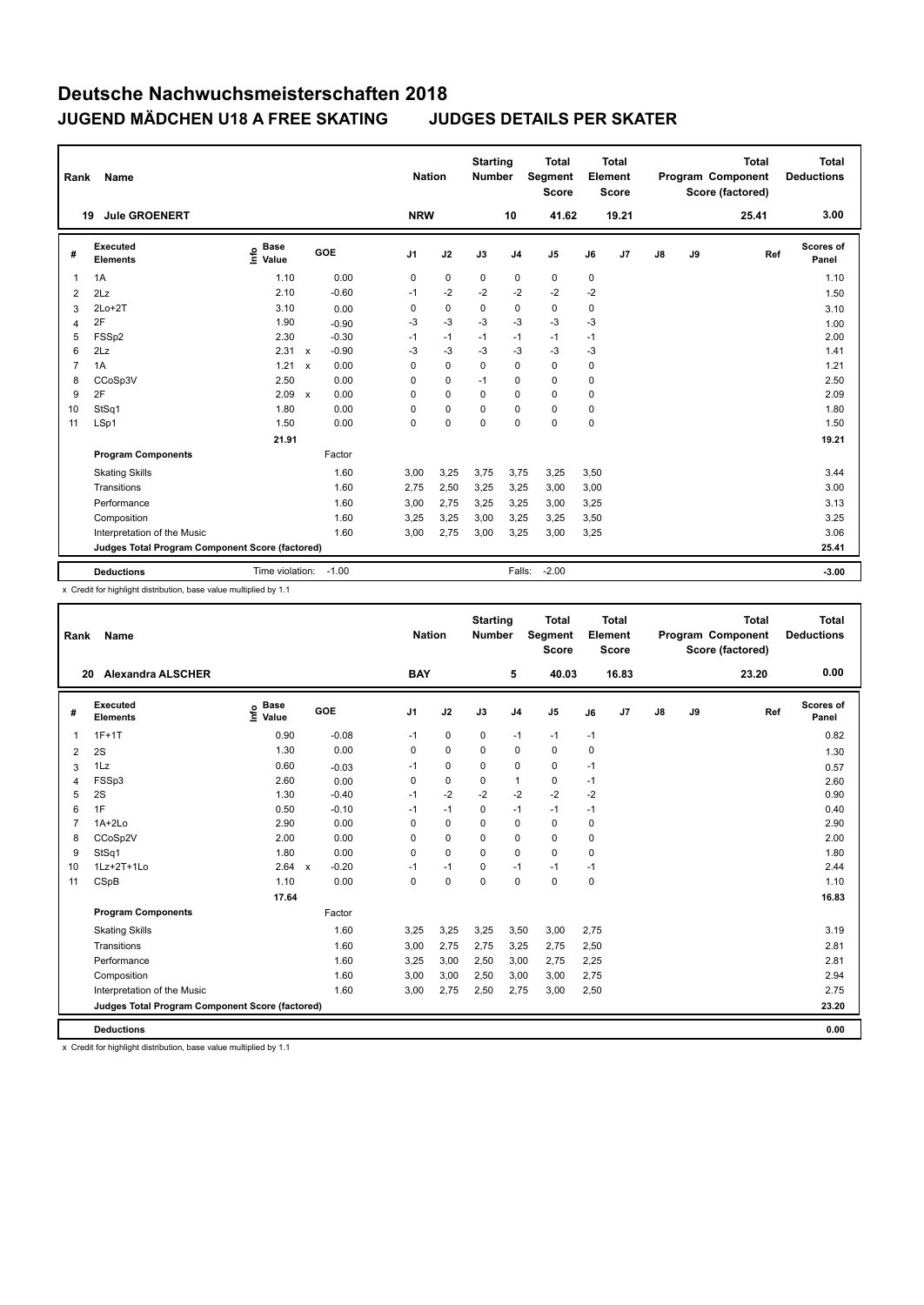| Rank           | Name                                            |                              |                         | <b>Nation</b>  |             | <b>Starting</b><br><b>Number</b> |                | <b>Total</b><br>Segment<br><b>Score</b> |             | <b>Total</b><br>Element<br><b>Score</b> |    |    | <b>Total</b><br>Program Component<br>Score (factored) | <b>Total</b><br><b>Deductions</b> |
|----------------|-------------------------------------------------|------------------------------|-------------------------|----------------|-------------|----------------------------------|----------------|-----------------------------------------|-------------|-----------------------------------------|----|----|-------------------------------------------------------|-----------------------------------|
|                | <b>Jule GROENERT</b><br>19                      |                              |                         | <b>NRW</b>     |             |                                  | 10             | 41.62                                   |             | 19.21                                   |    |    | 25.41                                                 | 3.00                              |
| #              | Executed<br><b>Elements</b>                     | <b>Base</b><br>١nfo<br>Value | <b>GOE</b>              | J <sub>1</sub> | J2          | J3                               | J <sub>4</sub> | J <sub>5</sub>                          | J6          | J7                                      | J8 | J9 | Ref                                                   | Scores of<br>Panel                |
|                | 1A                                              | 1.10                         | 0.00                    | 0              | $\mathbf 0$ | $\mathbf 0$                      | $\pmb{0}$      | $\mathbf 0$                             | $\mathbf 0$ |                                         |    |    |                                                       | 1.10                              |
| $\overline{2}$ | 2Lz                                             | 2.10                         | $-0.60$                 | $-1$           | $-2$        | $-2$                             | $-2$           | $-2$                                    | $-2$        |                                         |    |    |                                                       | 1.50                              |
| 3              | $2Lo+2T$                                        | 3.10                         | 0.00                    | 0              | $\mathbf 0$ | 0                                | $\mathbf 0$    | $\mathbf 0$                             | 0           |                                         |    |    |                                                       | 3.10                              |
| $\overline{4}$ | 2F                                              | 1.90                         | $-0.90$                 | $-3$           | $-3$        | $-3$                             | $-3$           | $-3$                                    | $-3$        |                                         |    |    |                                                       | 1.00                              |
| 5              | FSSp2                                           | 2.30                         | $-0.30$                 | $-1$           | $-1$        | $-1$                             | $-1$           | $-1$                                    | $-1$        |                                         |    |    |                                                       | 2.00                              |
| 6              | 2Lz                                             | 2.31                         | $-0.90$<br>$\mathsf{x}$ | $-3$           | $-3$        | -3                               | $-3$           | $-3$                                    | $-3$        |                                         |    |    |                                                       | 1.41                              |
| 7              | 1A                                              | 1.21                         | 0.00<br>$\mathsf{x}$    | 0              | $\Omega$    | $\Omega$                         | $\Omega$       | $\Omega$                                | 0           |                                         |    |    |                                                       | 1.21                              |
| 8              | CCoSp3V                                         | 2.50                         | 0.00                    | 0              | $\mathbf 0$ | $-1$                             | $\mathbf 0$    | $\mathbf 0$                             | 0           |                                         |    |    |                                                       | 2.50                              |
| 9              | 2F                                              | 2.09                         | 0.00<br>$\mathbf{x}$    | 0              | $\Omega$    | $\Omega$                         | $\mathbf 0$    | $\Omega$                                | $\Omega$    |                                         |    |    |                                                       | 2.09                              |
| 10             | StSq1                                           | 1.80                         | 0.00                    | 0              | $\Omega$    | $\Omega$                         | $\Omega$       | $\mathbf 0$                             | 0           |                                         |    |    |                                                       | 1.80                              |
| 11             | LSp1                                            | 1.50                         | 0.00                    | 0              | $\mathbf 0$ | $\Omega$                         | $\Omega$       | $\mathbf 0$                             | $\mathbf 0$ |                                         |    |    |                                                       | 1.50                              |
|                |                                                 | 21.91                        |                         |                |             |                                  |                |                                         |             |                                         |    |    |                                                       | 19.21                             |
|                | <b>Program Components</b>                       |                              | Factor                  |                |             |                                  |                |                                         |             |                                         |    |    |                                                       |                                   |
|                | <b>Skating Skills</b>                           |                              | 1.60                    | 3,00           | 3,25        | 3,75                             | 3,75           | 3,25                                    | 3,50        |                                         |    |    |                                                       | 3.44                              |
|                | Transitions                                     |                              | 1.60                    | 2,75           | 2,50        | 3,25                             | 3,25           | 3,00                                    | 3,00        |                                         |    |    |                                                       | 3.00                              |
|                | Performance                                     |                              | 1.60                    | 3,00           | 2,75        | 3,25                             | 3,25           | 3,00                                    | 3,25        |                                         |    |    |                                                       | 3.13                              |
|                | Composition                                     |                              | 1.60                    | 3,25           | 3,25        | 3,00                             | 3,25           | 3,25                                    | 3,50        |                                         |    |    |                                                       | 3.25                              |
|                | Interpretation of the Music                     |                              | 1.60                    | 3,00           | 2,75        | 3,00                             | 3,25           | 3,00                                    | 3,25        |                                         |    |    |                                                       | 3.06                              |
|                | Judges Total Program Component Score (factored) |                              |                         |                |             |                                  |                |                                         |             |                                         |    |    |                                                       | 25.41                             |
|                | <b>Deductions</b>                               | Time violation:              | $-1.00$                 |                |             |                                  | Falls:         | $-2.00$                                 |             |                                         |    |    |                                                       | $-3.00$                           |

x Credit for highlight distribution, base value multiplied by 1.1

| Rank | Name                                            |                              |                         | <b>Nation</b>  |             | <b>Starting</b><br><b>Number</b> |                | <b>Total</b><br>Segment<br><b>Score</b> |          | <b>Total</b><br>Element<br><b>Score</b> |               |    | <b>Total</b><br>Program Component<br>Score (factored) | <b>Total</b><br><b>Deductions</b> |
|------|-------------------------------------------------|------------------------------|-------------------------|----------------|-------------|----------------------------------|----------------|-----------------------------------------|----------|-----------------------------------------|---------------|----|-------------------------------------------------------|-----------------------------------|
|      | <b>Alexandra ALSCHER</b><br>20                  |                              |                         | <b>BAY</b>     |             |                                  | 5              | 40.03                                   |          | 16.83                                   |               |    | 23.20                                                 | 0.00                              |
| #    | Executed<br><b>Elements</b>                     | <b>Base</b><br>lnfo<br>Value | GOE                     | J <sub>1</sub> | J2          | J3                               | J <sub>4</sub> | J5                                      | J6       | J7                                      | $\mathsf{J}8$ | J9 | Ref                                                   | <b>Scores of</b><br>Panel         |
| 1    | $1F+1T$                                         | 0.90                         | $-0.08$                 | $-1$           | 0           | 0                                | $-1$           | $-1$                                    | $-1$     |                                         |               |    |                                                       | 0.82                              |
| 2    | 2S                                              | 1.30                         | 0.00                    | 0              | $\mathbf 0$ | $\Omega$                         | $\mathbf 0$    | $\Omega$                                | 0        |                                         |               |    |                                                       | 1.30                              |
| 3    | 1Lz                                             | 0.60                         | $-0.03$                 | $-1$           | 0           | 0                                | 0              | 0                                       | $-1$     |                                         |               |    |                                                       | 0.57                              |
| 4    | FSSp3                                           | 2.60                         | 0.00                    | 0              | $\mathbf 0$ | $\mathbf 0$                      | 1              | 0                                       | $-1$     |                                         |               |    |                                                       | 2.60                              |
| 5    | 2S                                              | 1.30                         | $-0.40$                 | $-1$           | $-2$        | $-2$                             | $-2$           | $-2$                                    | $-2$     |                                         |               |    |                                                       | 0.90                              |
| 6    | 1F                                              | 0.50                         | $-0.10$                 | $-1$           | $-1$        | $\Omega$                         | $-1$           | $-1$                                    | $-1$     |                                         |               |    |                                                       | 0.40                              |
| 7    | $1A+2Lo$                                        | 2.90                         | 0.00                    | $\Omega$       | $\mathbf 0$ | $\Omega$                         | $\Omega$       | 0                                       | $\Omega$ |                                         |               |    |                                                       | 2.90                              |
| 8    | CCoSp2V                                         | 2.00                         | 0.00                    | $\Omega$       | $\mathbf 0$ | $\Omega$                         | $\mathbf 0$    | 0                                       | 0        |                                         |               |    |                                                       | 2.00                              |
| 9    | StSq1                                           | 1.80                         | 0.00                    | $\Omega$       | $\mathbf 0$ | $\Omega$                         | $\Omega$       | 0                                       | 0        |                                         |               |    |                                                       | 1.80                              |
| 10   | 1Lz+2T+1Lo                                      | 2.64                         | $-0.20$<br>$\mathsf{x}$ | $-1$           | $-1$        | 0                                | $-1$           | $-1$                                    | $-1$     |                                         |               |    |                                                       | 2.44                              |
| 11   | CSpB                                            | 1.10                         | 0.00                    | $\Omega$       | 0           | $\Omega$                         | $\Omega$       | 0                                       | 0        |                                         |               |    |                                                       | 1.10                              |
|      |                                                 | 17.64                        |                         |                |             |                                  |                |                                         |          |                                         |               |    |                                                       | 16.83                             |
|      | <b>Program Components</b>                       |                              | Factor                  |                |             |                                  |                |                                         |          |                                         |               |    |                                                       |                                   |
|      | <b>Skating Skills</b>                           |                              | 1.60                    | 3,25           | 3,25        | 3,25                             | 3,50           | 3,00                                    | 2,75     |                                         |               |    |                                                       | 3.19                              |
|      | Transitions                                     |                              | 1.60                    | 3,00           | 2,75        | 2,75                             | 3,25           | 2,75                                    | 2,50     |                                         |               |    |                                                       | 2.81                              |
|      | Performance                                     |                              | 1.60                    | 3,25           | 3,00        | 2,50                             | 3,00           | 2,75                                    | 2,25     |                                         |               |    |                                                       | 2.81                              |
|      | Composition                                     |                              | 1.60                    | 3,00           | 3,00        | 2,50                             | 3,00           | 3,00                                    | 2,75     |                                         |               |    |                                                       | 2.94                              |
|      | Interpretation of the Music                     |                              | 1.60                    | 3,00           | 2,75        | 2,50                             | 2,75           | 3,00                                    | 2,50     |                                         |               |    |                                                       | 2.75                              |
|      | Judges Total Program Component Score (factored) |                              |                         |                |             |                                  |                |                                         |          |                                         |               |    |                                                       | 23.20                             |
|      | <b>Deductions</b>                               |                              |                         |                |             |                                  |                |                                         |          |                                         |               |    |                                                       | 0.00                              |